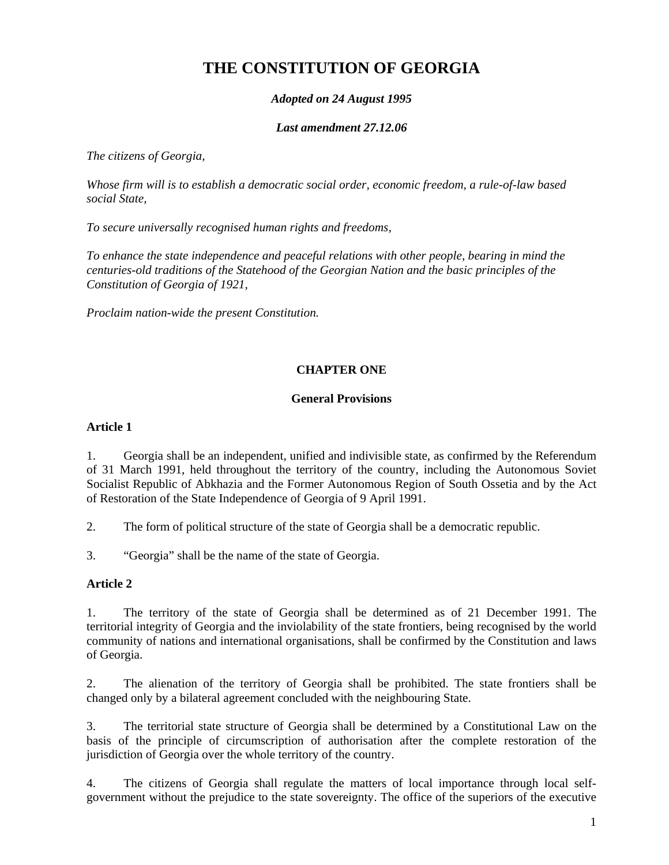# **THE CONSTITUTION OF GEORGIA**

### *Adopted on 24 August 1995*

### *Last amendment 27.12.06*

#### *The citizens of Georgia,*

*Whose firm will is to establish a democratic social order, economic freedom, a rule-of-law based social State,* 

*To secure universally recognised human rights and freedoms,* 

*To enhance the state independence and peaceful relations with other people, bearing in mind the centuries-old traditions of the Statehood of the Georgian Nation and the basic principles of the Constitution of Georgia of 1921,* 

*Proclaim nation-wide the present Constitution.* 

### **CHAPTER ONE**

#### **General Provisions**

### **Article 1**

1. Georgia shall be an independent, unified and indivisible state, as confirmed by the Referendum of 31 March 1991, held throughout the territory of the country, including the Autonomous Soviet Socialist Republic of Abkhazia and the Former Autonomous Region of South Ossetia and by the Act of Restoration of the State Independence of Georgia of 9 April 1991.

2. The form of political structure of the state of Georgia shall be a democratic republic.

3. "Georgia" shall be the name of the state of Georgia.

### **Article 2**

1. The territory of the state of Georgia shall be determined as of 21 December 1991. The territorial integrity of Georgia and the inviolability of the state frontiers, being recognised by the world community of nations and international organisations, shall be confirmed by the Constitution and laws of Georgia.

2. The alienation of the territory of Georgia shall be prohibited. The state frontiers shall be changed only by a bilateral agreement concluded with the neighbouring State.

3. The territorial state structure of Georgia shall be determined by a Constitutional Law on the basis of the principle of circumscription of authorisation after the complete restoration of the jurisdiction of Georgia over the whole territory of the country.

4. The citizens of Georgia shall regulate the matters of local importance through local selfgovernment without the prejudice to the state sovereignty. The office of the superiors of the executive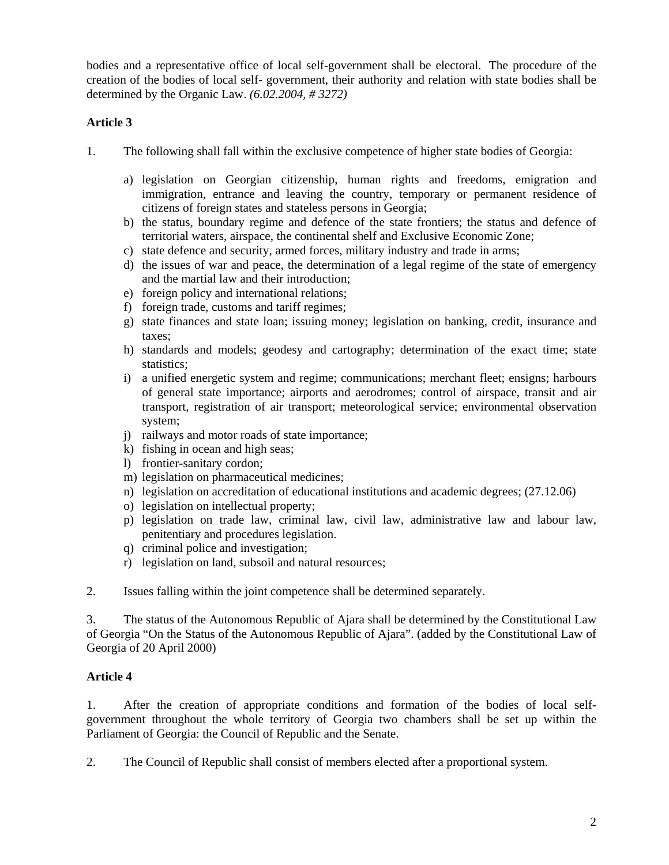bodies and a representative office of local self-government shall be electoral. The procedure of the creation of the bodies of local self- government, their authority and relation with state bodies shall be determined by the Organic Law. *(6.02.2004, # 3272)* 

## **Article 3**

- 1. The following shall fall within the exclusive competence of higher state bodies of Georgia:
	- a) legislation on Georgian citizenship, human rights and freedoms, emigration and immigration, entrance and leaving the country, temporary or permanent residence of citizens of foreign states and stateless persons in Georgia;
	- b) the status, boundary regime and defence of the state frontiers; the status and defence of territorial waters, airspace, the continental shelf and Exclusive Economic Zone;
	- c) state defence and security, armed forces, military industry and trade in arms;
	- d) the issues of war and peace, the determination of a legal regime of the state of emergency and the martial law and their introduction;
	- e) foreign policy and international relations;
	- f) foreign trade, customs and tariff regimes;
	- g) state finances and state loan; issuing money; legislation on banking, credit, insurance and taxes;
	- h) standards and models; geodesy and cartography; determination of the exact time; state statistics;
	- i) a unified energetic system and regime; communications; merchant fleet; ensigns; harbours of general state importance; airports and aerodromes; control of airspace, transit and air transport, registration of air transport; meteorological service; environmental observation system;
	- j) railways and motor roads of state importance;
	- k) fishing in ocean and high seas;
	- l) frontier-sanitary cordon;
	- m) legislation on pharmaceutical medicines;
	- n) legislation on accreditation of educational institutions and academic degrees; (27.12.06)
	- o) legislation on intellectual property;
	- p) legislation on trade law, criminal law, civil law, administrative law and labour law, penitentiary and procedures legislation.
	- q) criminal police and investigation;
	- r) legislation on land, subsoil and natural resources;

2. Issues falling within the joint competence shall be determined separately.

3. The status of the Autonomous Republic of Ajara shall be determined by the Constitutional Law of Georgia "On the Status of the Autonomous Republic of Ajara". (added by the Constitutional Law of Georgia of 20 April 2000)

### **Article 4**

1. After the creation of appropriate conditions and formation of the bodies of local selfgovernment throughout the whole territory of Georgia two chambers shall be set up within the Parliament of Georgia: the Council of Republic and the Senate.

2. The Council of Republic shall consist of members elected after a proportional system.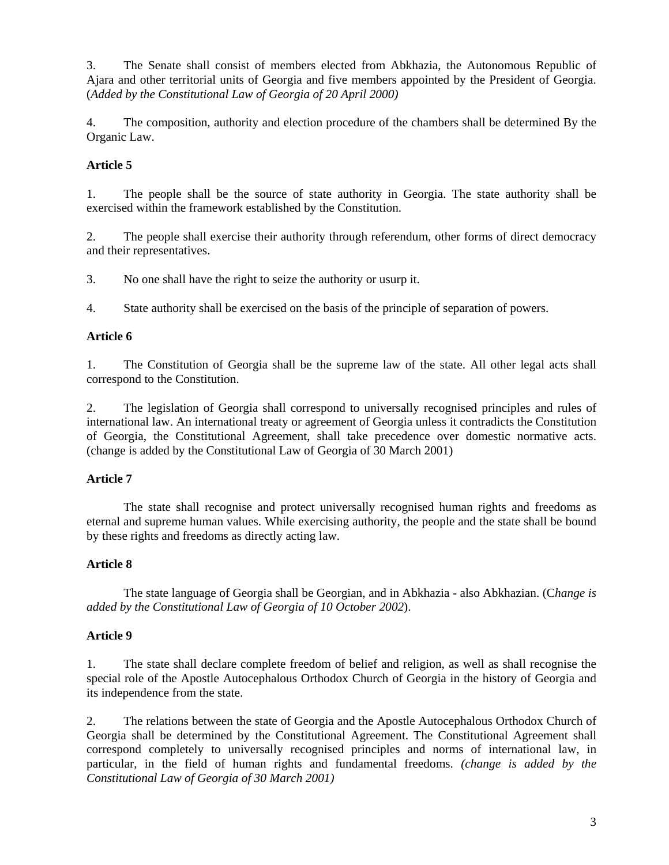3. The Senate shall consist of members elected from Abkhazia, the Autonomous Republic of Ajara and other territorial units of Georgia and five members appointed by the President of Georgia. (*Added by the Constitutional Law of Georgia of 20 April 2000)*

4. The composition, authority and election procedure of the chambers shall be determined By the Organic Law.

### **Article 5**

1. The people shall be the source of state authority in Georgia. The state authority shall be exercised within the framework established by the Constitution.

2. The people shall exercise their authority through referendum, other forms of direct democracy and their representatives.

3. No one shall have the right to seize the authority or usurp it.

4. State authority shall be exercised on the basis of the principle of separation of powers.

### **Article 6**

1. The Constitution of Georgia shall be the supreme law of the state. All other legal acts shall correspond to the Constitution.

2. The legislation of Georgia shall correspond to universally recognised principles and rules of international law. An international treaty or agreement of Georgia unless it contradicts the Constitution of Georgia, the Constitutional Agreement, shall take precedence over domestic normative acts. (change is added by the Constitutional Law of Georgia of 30 March 2001)

### **Article 7**

 The state shall recognise and protect universally recognised human rights and freedoms as eternal and supreme human values. While exercising authority, the people and the state shall be bound by these rights and freedoms as directly acting law.

### **Article 8**

 The state language of Georgia shall be Georgian, and in Abkhazia - also Abkhazian. (C*hange is added by the Constitutional Law of Georgia of 10 October 2002*).

#### **Article 9**

1. The state shall declare complete freedom of belief and religion, as well as shall recognise the special role of the Apostle Autocephalous Orthodox Church of Georgia in the history of Georgia and its independence from the state.

2. The relations between the state of Georgia and the Apostle Autocephalous Orthodox Church of Georgia shall be determined by the Constitutional Agreement. The Constitutional Agreement shall correspond completely to universally recognised principles and norms of international law, in particular, in the field of human rights and fundamental freedoms. *(change is added by the Constitutional Law of Georgia of 30 March 2001)*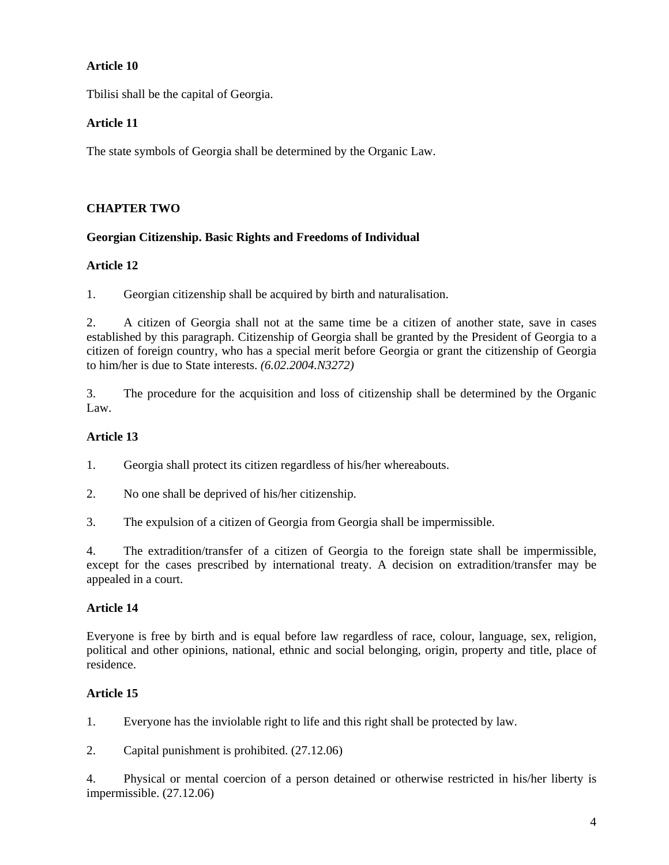Tbilisi shall be the capital of Georgia.

## **Article 11**

The state symbols of Georgia shall be determined by the Organic Law.

## **CHAPTER TWO**

### **Georgian Citizenship. Basic Rights and Freedoms of Individual**

### **Article 12**

1. Georgian citizenship shall be acquired by birth and naturalisation.

2. A citizen of Georgia shall not at the same time be a citizen of another state, save in cases established by this paragraph. Citizenship of Georgia shall be granted by the President of Georgia to a citizen of foreign country, who has a special merit before Georgia or grant the citizenship of Georgia to him/her is due to State interests. *(6.02.2004.N3272)*

3. The procedure for the acquisition and loss of citizenship shall be determined by the Organic Law.

## **Article 13**

1. Georgia shall protect its citizen regardless of his/her whereabouts.

2. No one shall be deprived of his/her citizenship.

3. The expulsion of a citizen of Georgia from Georgia shall be impermissible.

4. The extradition/transfer of a citizen of Georgia to the foreign state shall be impermissible, except for the cases prescribed by international treaty. A decision on extradition/transfer may be appealed in a court.

## **Article 14**

Everyone is free by birth and is equal before law regardless of race, colour, language, sex, religion, political and other opinions, national, ethnic and social belonging, origin, property and title, place of residence.

## **Article 15**

1. Everyone has the inviolable right to life and this right shall be protected by law.

2. Capital punishment is prohibited. (27.12.06)

4. Physical or mental coercion of a person detained or otherwise restricted in his/her liberty is impermissible. (27.12.06)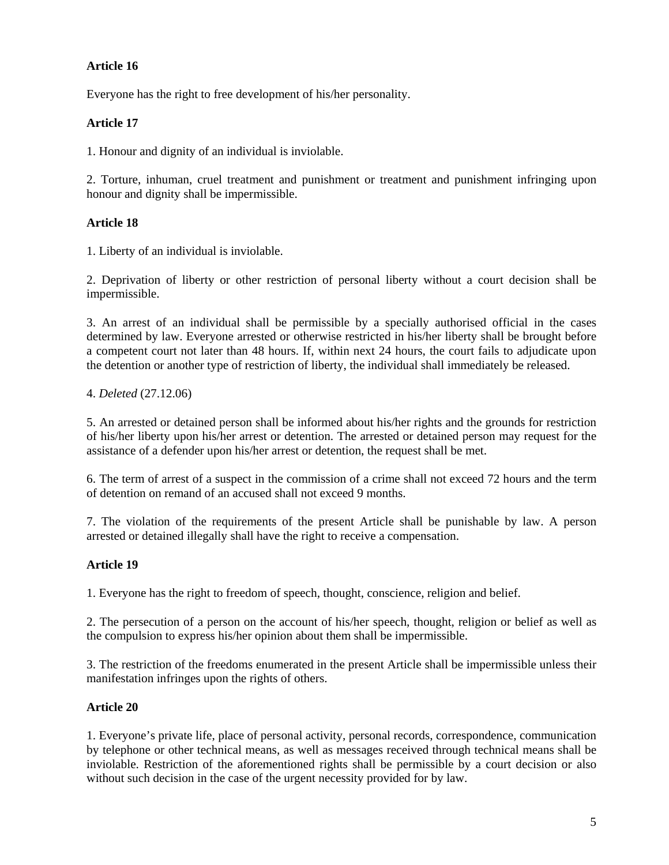Everyone has the right to free development of his/her personality.

## **Article 17**

1. Honour and dignity of an individual is inviolable.

2. Torture, inhuman, cruel treatment and punishment or treatment and punishment infringing upon honour and dignity shall be impermissible.

## **Article 18**

1. Liberty of an individual is inviolable.

2. Deprivation of liberty or other restriction of personal liberty without a court decision shall be impermissible.

3. An arrest of an individual shall be permissible by a specially authorised official in the cases determined by law. Everyone arrested or otherwise restricted in his/her liberty shall be brought before a competent court not later than 48 hours. If, within next 24 hours, the court fails to adjudicate upon the detention or another type of restriction of liberty, the individual shall immediately be released.

## 4. *Deleted* (27.12.06)

5. An arrested or detained person shall be informed about his/her rights and the grounds for restriction of his/her liberty upon his/her arrest or detention. The arrested or detained person may request for the assistance of a defender upon his/her arrest or detention, the request shall be met.

6. The term of arrest of a suspect in the commission of a crime shall not exceed 72 hours and the term of detention on remand of an accused shall not exceed 9 months.

7. The violation of the requirements of the present Article shall be punishable by law. A person arrested or detained illegally shall have the right to receive a compensation.

## **Article 19**

1. Everyone has the right to freedom of speech, thought, conscience, religion and belief.

2. The persecution of a person on the account of his/her speech, thought, religion or belief as well as the compulsion to express his/her opinion about them shall be impermissible.

3. The restriction of the freedoms enumerated in the present Article shall be impermissible unless their manifestation infringes upon the rights of others.

## **Article 20**

1. Everyone's private life, place of personal activity, personal records, correspondence, communication by telephone or other technical means, as well as messages received through technical means shall be inviolable. Restriction of the aforementioned rights shall be permissible by a court decision or also without such decision in the case of the urgent necessity provided for by law.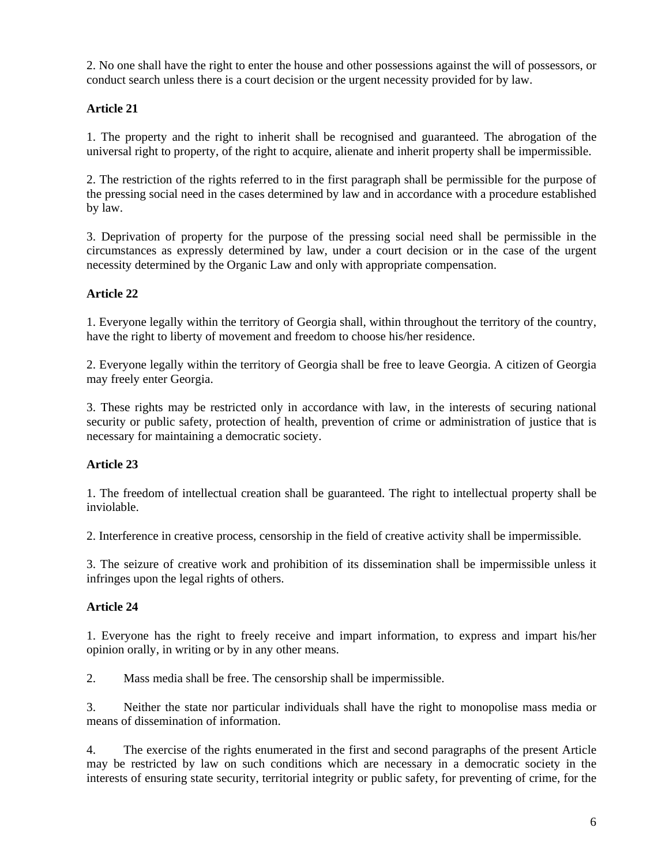2. No one shall have the right to enter the house and other possessions against the will of possessors, or conduct search unless there is a court decision or the urgent necessity provided for by law.

## **Article 21**

1. The property and the right to inherit shall be recognised and guaranteed. The abrogation of the universal right to property, of the right to acquire, alienate and inherit property shall be impermissible.

2. The restriction of the rights referred to in the first paragraph shall be permissible for the purpose of the pressing social need in the cases determined by law and in accordance with a procedure established by law.

3. Deprivation of property for the purpose of the pressing social need shall be permissible in the circumstances as expressly determined by law, under a court decision or in the case of the urgent necessity determined by the Organic Law and only with appropriate compensation.

## **Article 22**

1. Everyone legally within the territory of Georgia shall, within throughout the territory of the country, have the right to liberty of movement and freedom to choose his/her residence.

2. Everyone legally within the territory of Georgia shall be free to leave Georgia. A citizen of Georgia may freely enter Georgia.

3. These rights may be restricted only in accordance with law, in the interests of securing national security or public safety, protection of health, prevention of crime or administration of justice that is necessary for maintaining a democratic society.

## **Article 23**

1. The freedom of intellectual creation shall be guaranteed. The right to intellectual property shall be inviolable.

2. Interference in creative process, censorship in the field of creative activity shall be impermissible.

3. The seizure of creative work and prohibition of its dissemination shall be impermissible unless it infringes upon the legal rights of others.

## **Article 24**

1. Everyone has the right to freely receive and impart information, to express and impart his/her opinion orally, in writing or by in any other means.

2. Mass media shall be free. The censorship shall be impermissible.

3. Neither the state nor particular individuals shall have the right to monopolise mass media or means of dissemination of information.

4. The exercise of the rights enumerated in the first and second paragraphs of the present Article may be restricted by law on such conditions which are necessary in a democratic society in the interests of ensuring state security, territorial integrity or public safety, for preventing of crime, for the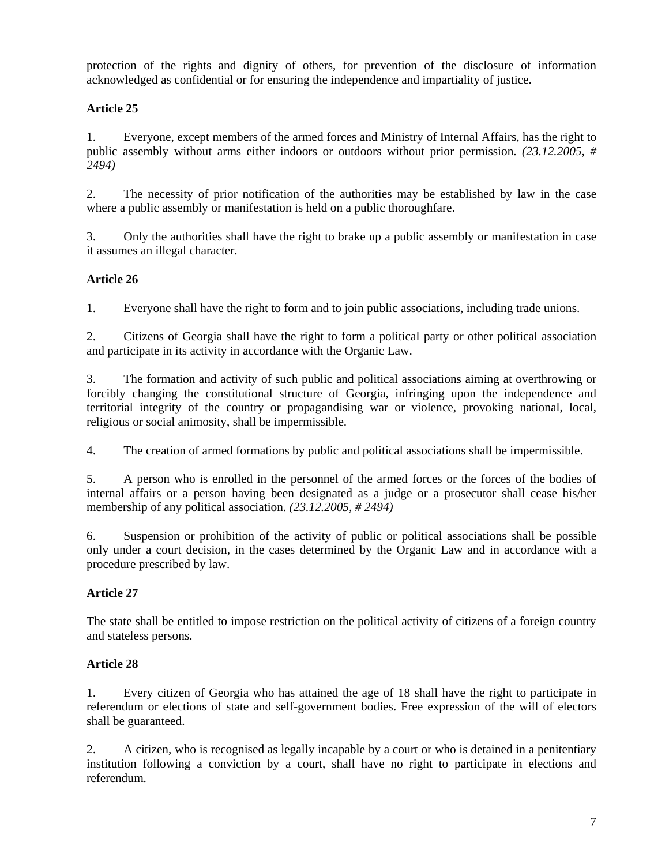protection of the rights and dignity of others, for prevention of the disclosure of information acknowledged as confidential or for ensuring the independence and impartiality of justice.

## **Article 25**

1. Everyone, except members of the armed forces and Ministry of Internal Affairs, has the right to public assembly without arms either indoors or outdoors without prior permission. *(23.12.2005, # 2494)*

2. The necessity of prior notification of the authorities may be established by law in the case where a public assembly or manifestation is held on a public thoroughfare.

3. Only the authorities shall have the right to brake up a public assembly or manifestation in case it assumes an illegal character.

## **Article 26**

1. Everyone shall have the right to form and to join public associations, including trade unions.

2. Citizens of Georgia shall have the right to form a political party or other political association and participate in its activity in accordance with the Organic Law.

3. The formation and activity of such public and political associations aiming at overthrowing or forcibly changing the constitutional structure of Georgia, infringing upon the independence and territorial integrity of the country or propagandising war or violence, provoking national, local, religious or social animosity, shall be impermissible.

4. The creation of armed formations by public and political associations shall be impermissible.

5. A person who is enrolled in the personnel of the armed forces or the forces of the bodies of internal affairs or a person having been designated as a judge or a prosecutor shall cease his/her membership of any political association. *(23.12.2005, # 2494)*

6. Suspension or prohibition of the activity of public or political associations shall be possible only under a court decision, in the cases determined by the Organic Law and in accordance with a procedure prescribed by law.

## **Article 27**

The state shall be entitled to impose restriction on the political activity of citizens of a foreign country and stateless persons.

## **Article 28**

1. Every citizen of Georgia who has attained the age of 18 shall have the right to participate in referendum or elections of state and self-government bodies. Free expression of the will of electors shall be guaranteed.

2. A citizen, who is recognised as legally incapable by a court or who is detained in a penitentiary institution following a conviction by a court, shall have no right to participate in elections and referendum.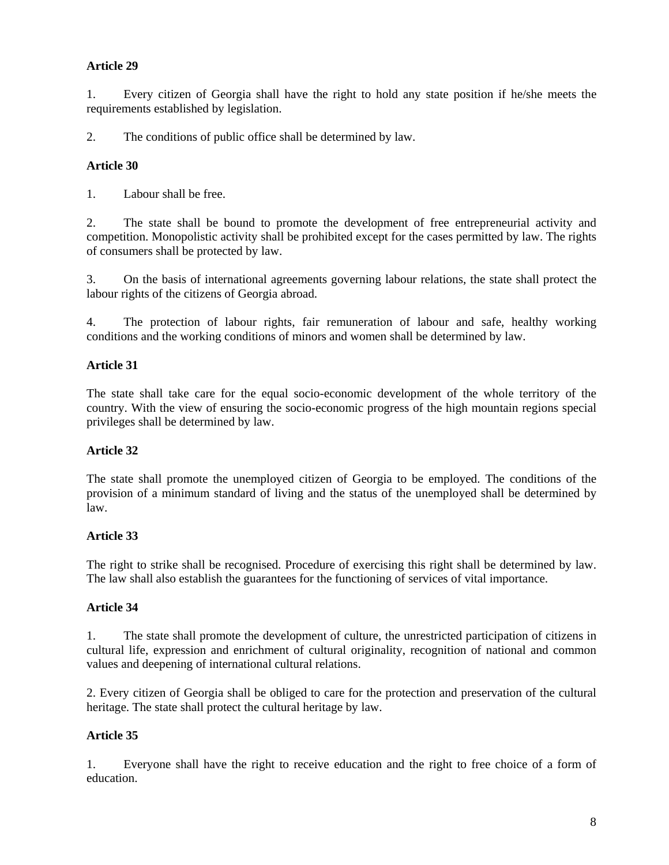1. Every citizen of Georgia shall have the right to hold any state position if he/she meets the requirements established by legislation.

2. The conditions of public office shall be determined by law.

### **Article 30**

1. Labour shall be free.

2. The state shall be bound to promote the development of free entrepreneurial activity and competition. Monopolistic activity shall be prohibited except for the cases permitted by law. The rights of consumers shall be protected by law.

3. On the basis of international agreements governing labour relations, the state shall protect the labour rights of the citizens of Georgia abroad.

4. The protection of labour rights, fair remuneration of labour and safe, healthy working conditions and the working conditions of minors and women shall be determined by law.

### **Article 31**

The state shall take care for the equal socio-economic development of the whole territory of the country. With the view of ensuring the socio-economic progress of the high mountain regions special privileges shall be determined by law.

### **Article 32**

The state shall promote the unemployed citizen of Georgia to be employed. The conditions of the provision of a minimum standard of living and the status of the unemployed shall be determined by law.

## **Article 33**

The right to strike shall be recognised. Procedure of exercising this right shall be determined by law. The law shall also establish the guarantees for the functioning of services of vital importance.

### **Article 34**

1. The state shall promote the development of culture, the unrestricted participation of citizens in cultural life, expression and enrichment of cultural originality, recognition of national and common values and deepening of international cultural relations.

2. Every citizen of Georgia shall be obliged to care for the protection and preservation of the cultural heritage. The state shall protect the cultural heritage by law.

## **Article 35**

1. Everyone shall have the right to receive education and the right to free choice of a form of education.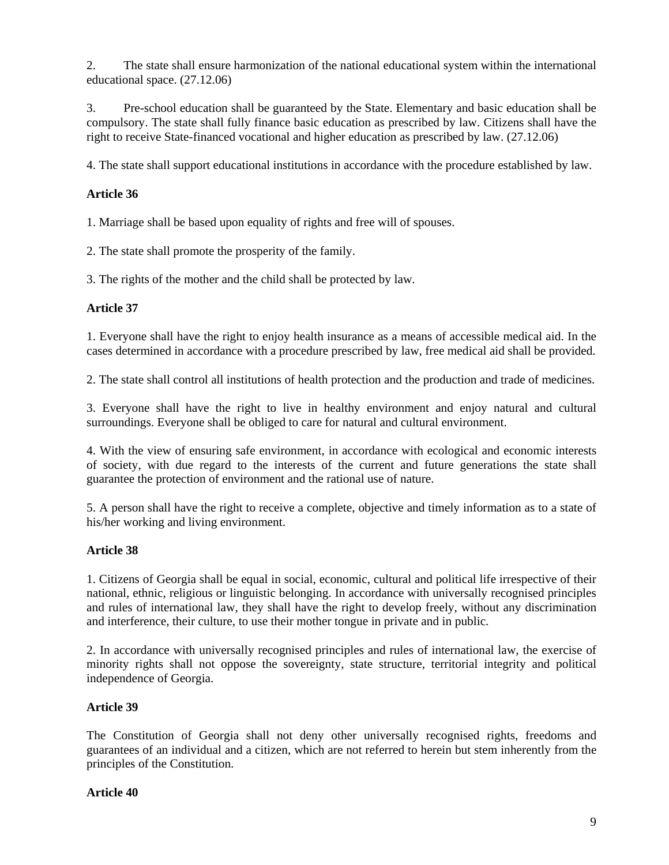2. The state shall ensure harmonization of the national educational system within the international educational space. (27.12.06)

3. Pre-school education shall be guaranteed by the State. Elementary and basic education shall be compulsory. The state shall fully finance basic education as prescribed by law. Citizens shall have the right to receive State-financed vocational and higher education as prescribed by law. (27.12.06)

4. The state shall support educational institutions in accordance with the procedure established by law.

### **Article 36**

1. Marriage shall be based upon equality of rights and free will of spouses.

2. The state shall promote the prosperity of the family.

3. The rights of the mother and the child shall be protected by law.

### **Article 37**

1. Everyone shall have the right to enjoy health insurance as a means of accessible medical aid. In the cases determined in accordance with a procedure prescribed by law, free medical aid shall be provided.

2. The state shall control all institutions of health protection and the production and trade of medicines.

3. Everyone shall have the right to live in healthy environment and enjoy natural and cultural surroundings. Everyone shall be obliged to care for natural and cultural environment.

4. With the view of ensuring safe environment, in accordance with ecological and economic interests of society, with due regard to the interests of the current and future generations the state shall guarantee the protection of environment and the rational use of nature.

5. A person shall have the right to receive a complete, objective and timely information as to a state of his/her working and living environment.

### **Article 38**

1. Citizens of Georgia shall be equal in social, economic, cultural and political life irrespective of their national, ethnic, religious or linguistic belonging. In accordance with universally recognised principles and rules of international law, they shall have the right to develop freely, without any discrimination and interference, their culture, to use their mother tongue in private and in public.

2. In accordance with universally recognised principles and rules of international law, the exercise of minority rights shall not oppose the sovereignty, state structure, territorial integrity and political independence of Georgia.

### **Article 39**

The Constitution of Georgia shall not deny other universally recognised rights, freedoms and guarantees of an individual and a citizen, which are not referred to herein but stem inherently from the principles of the Constitution.

#### **Article 40**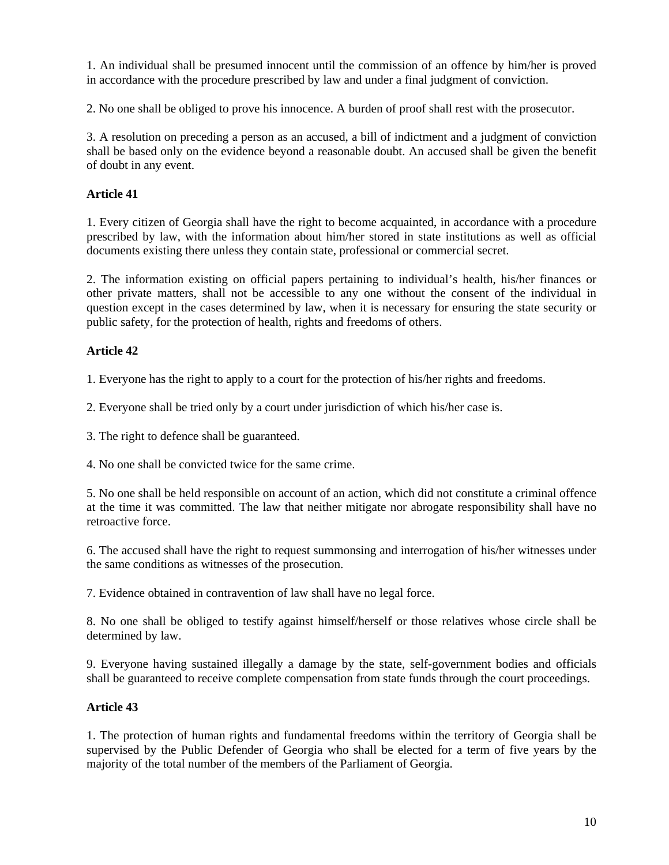1. An individual shall be presumed innocent until the commission of an offence by him/her is proved in accordance with the procedure prescribed by law and under a final judgment of conviction.

2. No one shall be obliged to prove his innocence. A burden of proof shall rest with the prosecutor.

3. A resolution on preceding a person as an accused, a bill of indictment and a judgment of conviction shall be based only on the evidence beyond a reasonable doubt. An accused shall be given the benefit of doubt in any event.

### **Article 41**

1. Every citizen of Georgia shall have the right to become acquainted, in accordance with a procedure prescribed by law, with the information about him/her stored in state institutions as well as official documents existing there unless they contain state, professional or commercial secret.

2. The information existing on official papers pertaining to individual's health, his/her finances or other private matters, shall not be accessible to any one without the consent of the individual in question except in the cases determined by law, when it is necessary for ensuring the state security or public safety, for the protection of health, rights and freedoms of others.

### **Article 42**

1. Everyone has the right to apply to a court for the protection of his/her rights and freedoms.

2. Everyone shall be tried only by a court under jurisdiction of which his/her case is.

- 3. The right to defence shall be guaranteed.
- 4. No one shall be convicted twice for the same crime.

5. No one shall be held responsible on account of an action, which did not constitute a criminal offence at the time it was committed. The law that neither mitigate nor abrogate responsibility shall have no retroactive force.

6. The accused shall have the right to request summonsing and interrogation of his/her witnesses under the same conditions as witnesses of the prosecution.

7. Evidence obtained in contravention of law shall have no legal force.

8. No one shall be obliged to testify against himself/herself or those relatives whose circle shall be determined by law.

9. Everyone having sustained illegally a damage by the state, self-government bodies and officials shall be guaranteed to receive complete compensation from state funds through the court proceedings.

### **Article 43**

1. The protection of human rights and fundamental freedoms within the territory of Georgia shall be supervised by the Public Defender of Georgia who shall be elected for a term of five years by the majority of the total number of the members of the Parliament of Georgia.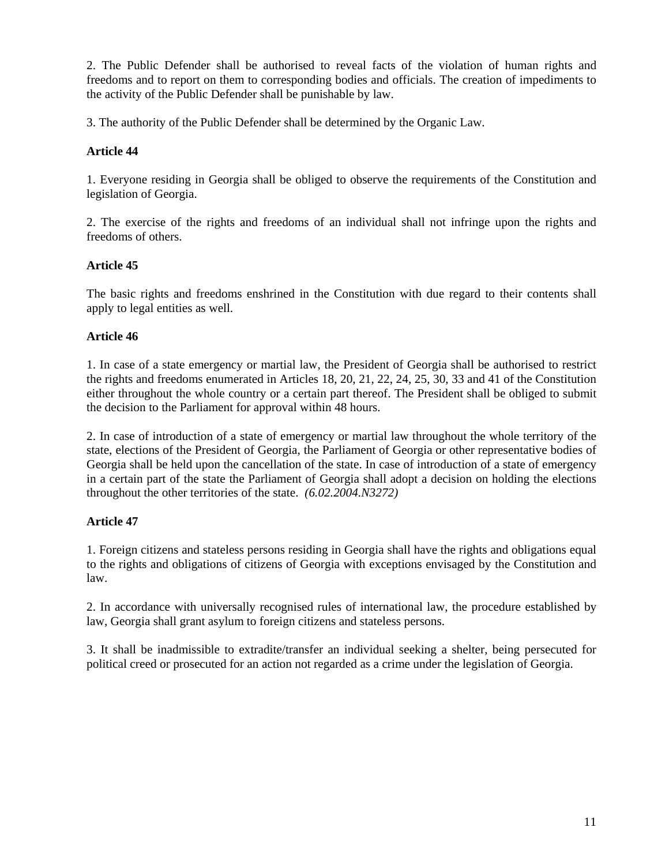2. The Public Defender shall be authorised to reveal facts of the violation of human rights and freedoms and to report on them to corresponding bodies and officials. The creation of impediments to the activity of the Public Defender shall be punishable by law.

3. The authority of the Public Defender shall be determined by the Organic Law.

### **Article 44**

1. Everyone residing in Georgia shall be obliged to observe the requirements of the Constitution and legislation of Georgia.

2. The exercise of the rights and freedoms of an individual shall not infringe upon the rights and freedoms of others.

### **Article 45**

The basic rights and freedoms enshrined in the Constitution with due regard to their contents shall apply to legal entities as well.

### **Article 46**

1. In case of a state emergency or martial law, the President of Georgia shall be authorised to restrict the rights and freedoms enumerated in Articles 18, 20, 21, 22, 24, 25, 30, 33 and 41 of the Constitution either throughout the whole country or a certain part thereof. The President shall be obliged to submit the decision to the Parliament for approval within 48 hours.

2. In case of introduction of a state of emergency or martial law throughout the whole territory of the state, elections of the President of Georgia, the Parliament of Georgia or other representative bodies of Georgia shall be held upon the cancellation of the state. In case of introduction of a state of emergency in a certain part of the state the Parliament of Georgia shall adopt a decision on holding the elections throughout the other territories of the state. *(6.02.2004.N3272)* 

## **Article 47**

1. Foreign citizens and stateless persons residing in Georgia shall have the rights and obligations equal to the rights and obligations of citizens of Georgia with exceptions envisaged by the Constitution and law.

2. In accordance with universally recognised rules of international law, the procedure established by law, Georgia shall grant asylum to foreign citizens and stateless persons.

3. It shall be inadmissible to extradite/transfer an individual seeking a shelter, being persecuted for political creed or prosecuted for an action not regarded as a crime under the legislation of Georgia.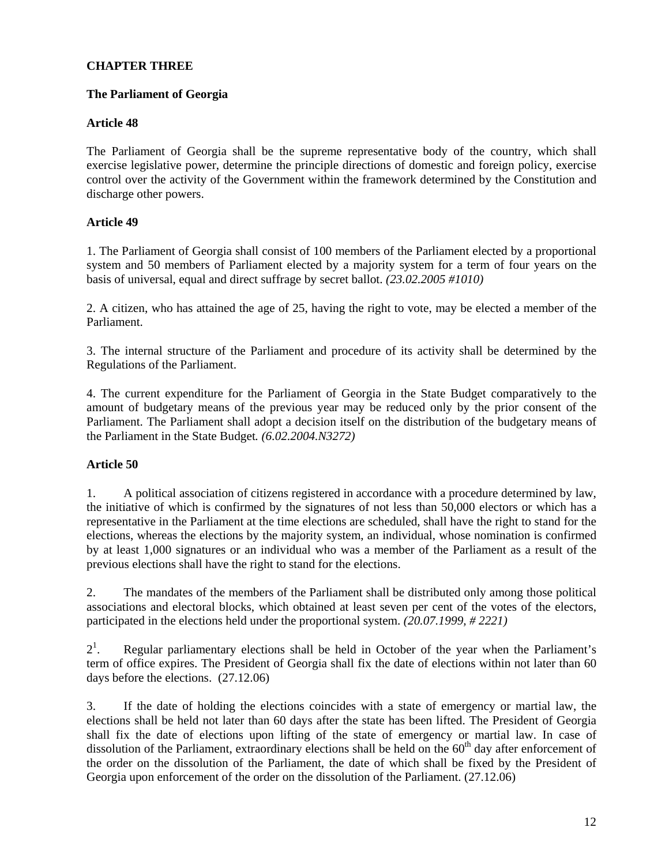### **CHAPTER THREE**

### **The Parliament of Georgia**

### **Article 48**

The Parliament of Georgia shall be the supreme representative body of the country, which shall exercise legislative power, determine the principle directions of domestic and foreign policy, exercise control over the activity of the Government within the framework determined by the Constitution and discharge other powers.

### **Article 49**

1. The Parliament of Georgia shall consist of 100 members of the Parliament elected by a proportional system and 50 members of Parliament elected by a majority system for a term of four years on the basis of universal, equal and direct suffrage by secret ballot. *(23.02.2005 #1010)*

2. A citizen, who has attained the age of 25, having the right to vote, may be elected a member of the Parliament.

3. The internal structure of the Parliament and procedure of its activity shall be determined by the Regulations of the Parliament.

4. The current expenditure for the Parliament of Georgia in the State Budget comparatively to the amount of budgetary means of the previous year may be reduced only by the prior consent of the Parliament. The Parliament shall adopt a decision itself on the distribution of the budgetary means of the Parliament in the State Budget*. (6.02.2004.N3272)* 

### **Article 50**

1. A political association of citizens registered in accordance with a procedure determined by law, the initiative of which is confirmed by the signatures of not less than 50,000 electors or which has a representative in the Parliament at the time elections are scheduled, shall have the right to stand for the elections, whereas the elections by the majority system, an individual, whose nomination is confirmed by at least 1,000 signatures or an individual who was a member of the Parliament as a result of the previous elections shall have the right to stand for the elections.

2. The mandates of the members of the Parliament shall be distributed only among those political associations and electoral blocks, which obtained at least seven per cent of the votes of the electors, participated in the elections held under the proportional system. *(20.07.1999, # 2221)* 

 $2^{1}$ . . Regular parliamentary elections shall be held in October of the year when the Parliament's term of office expires. The President of Georgia shall fix the date of elections within not later than 60 days before the elections. (27.12.06)

3. If the date of holding the elections coincides with a state of emergency or martial law, the elections shall be held not later than 60 days after the state has been lifted. The President of Georgia shall fix the date of elections upon lifting of the state of emergency or martial law. In case of dissolution of the Parliament, extraordinary elections shall be held on the 60<sup>th</sup> day after enforcement of the order on the dissolution of the Parliament, the date of which shall be fixed by the President of Georgia upon enforcement of the order on the dissolution of the Parliament. (27.12.06)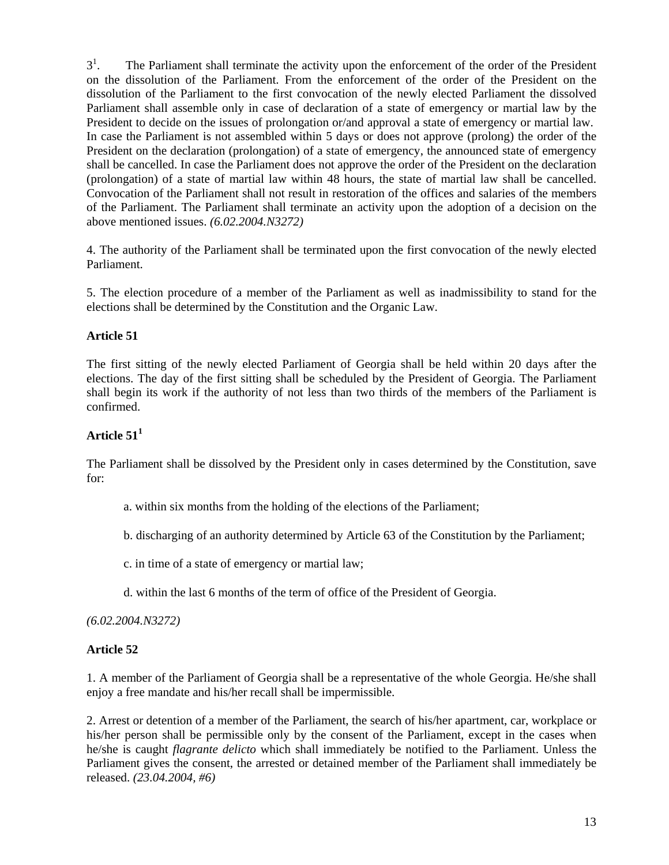$3^1$ . . The Parliament shall terminate the activity upon the enforcement of the order of the President on the dissolution of the Parliament. From the enforcement of the order of the President on the dissolution of the Parliament to the first convocation of the newly elected Parliament the dissolved Parliament shall assemble only in case of declaration of a state of emergency or martial law by the President to decide on the issues of prolongation or/and approval a state of emergency or martial law. In case the Parliament is not assembled within 5 days or does not approve (prolong) the order of the President on the declaration (prolongation) of a state of emergency, the announced state of emergency shall be cancelled. In case the Parliament does not approve the order of the President on the declaration (prolongation) of a state of martial law within 48 hours, the state of martial law shall be cancelled. Convocation of the Parliament shall not result in restoration of the offices and salaries of the members of the Parliament. The Parliament shall terminate an activity upon the adoption of a decision on the above mentioned issues. *(6.02.2004.N3272)*

4. The authority of the Parliament shall be terminated upon the first convocation of the newly elected Parliament.

5. The election procedure of a member of the Parliament as well as inadmissibility to stand for the elections shall be determined by the Constitution and the Organic Law.

### **Article 51**

The first sitting of the newly elected Parliament of Georgia shall be held within 20 days after the elections. The day of the first sitting shall be scheduled by the President of Georgia. The Parliament shall begin its work if the authority of not less than two thirds of the members of the Parliament is confirmed.

## **Article 51<sup>1</sup>**

The Parliament shall be dissolved by the President only in cases determined by the Constitution, save for:

- a. within six months from the holding of the elections of the Parliament;
- b. discharging of an authority determined by Article 63 of the Constitution by the Parliament;
- c. in time of a state of emergency or martial law;
- d. within the last 6 months of the term of office of the President of Georgia.

*(6.02.2004.N3272)*

### **Article 52**

1. A member of the Parliament of Georgia shall be a representative of the whole Georgia. He/she shall enjoy a free mandate and his/her recall shall be impermissible.

2. Arrest or detention of a member of the Parliament, the search of his/her apartment, car, workplace or his/her person shall be permissible only by the consent of the Parliament, except in the cases when he/she is caught *flagrante delicto* which shall immediately be notified to the Parliament. Unless the Parliament gives the consent, the arrested or detained member of the Parliament shall immediately be released. *(23.04.2004, #6)*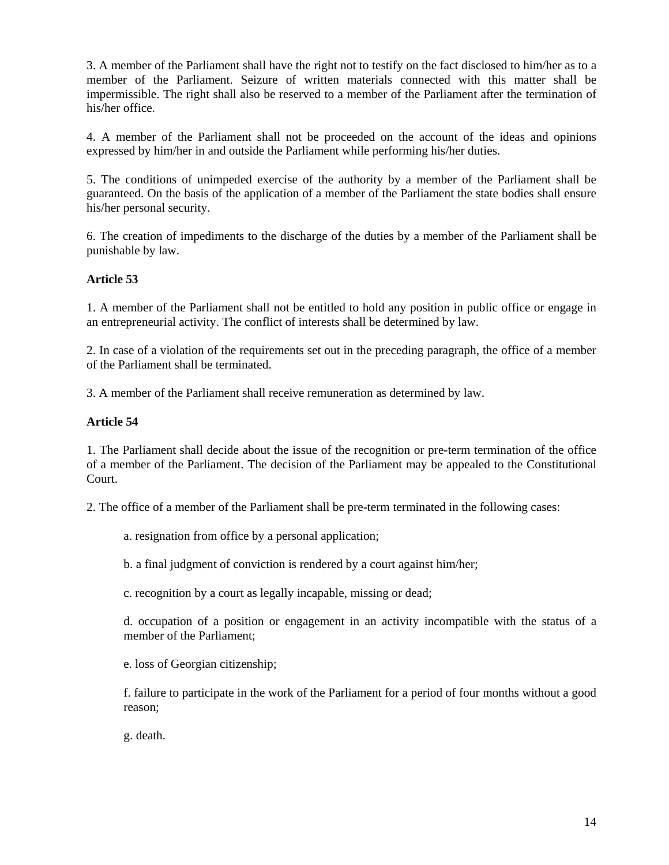3. A member of the Parliament shall have the right not to testify on the fact disclosed to him/her as to a member of the Parliament. Seizure of written materials connected with this matter shall be impermissible. The right shall also be reserved to a member of the Parliament after the termination of his/her office.

4. A member of the Parliament shall not be proceeded on the account of the ideas and opinions expressed by him/her in and outside the Parliament while performing his/her duties.

5. The conditions of unimpeded exercise of the authority by a member of the Parliament shall be guaranteed. On the basis of the application of a member of the Parliament the state bodies shall ensure his/her personal security.

6. The creation of impediments to the discharge of the duties by a member of the Parliament shall be punishable by law.

### **Article 53**

1. A member of the Parliament shall not be entitled to hold any position in public office or engage in an entrepreneurial activity. The conflict of interests shall be determined by law.

2. In case of a violation of the requirements set out in the preceding paragraph, the office of a member of the Parliament shall be terminated.

3. A member of the Parliament shall receive remuneration as determined by law.

#### **Article 54**

1. The Parliament shall decide about the issue of the recognition or pre-term termination of the office of a member of the Parliament. The decision of the Parliament may be appealed to the Constitutional Court.

2. The office of a member of the Parliament shall be pre-term terminated in the following cases:

a. resignation from office by a personal application;

b. a final judgment of conviction is rendered by a court against him/her;

c. recognition by a court as legally incapable, missing or dead;

d. occupation of a position or engagement in an activity incompatible with the status of a member of the Parliament;

e. loss of Georgian citizenship;

f. failure to participate in the work of the Parliament for a period of four months without a good reason;

g. death.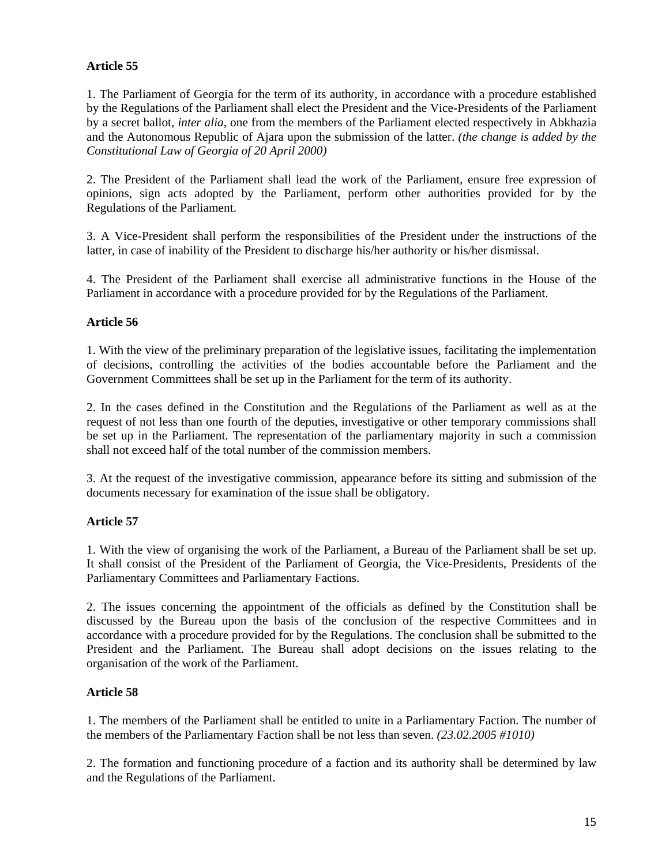1. The Parliament of Georgia for the term of its authority, in accordance with a procedure established by the Regulations of the Parliament shall elect the President and the Vice-Presidents of the Parliament by a secret ballot, *inter alia*, one from the members of the Parliament elected respectively in Abkhazia and the Autonomous Republic of Ajara upon the submission of the latter. *(the change is added by the Constitutional Law of Georgia of 20 April 2000)*

2. The President of the Parliament shall lead the work of the Parliament, ensure free expression of opinions, sign acts adopted by the Parliament, perform other authorities provided for by the Regulations of the Parliament.

3. A Vice-President shall perform the responsibilities of the President under the instructions of the latter, in case of inability of the President to discharge his/her authority or his/her dismissal.

4. The President of the Parliament shall exercise all administrative functions in the House of the Parliament in accordance with a procedure provided for by the Regulations of the Parliament.

### **Article 56**

1. With the view of the preliminary preparation of the legislative issues, facilitating the implementation of decisions, controlling the activities of the bodies accountable before the Parliament and the Government Committees shall be set up in the Parliament for the term of its authority.

2. In the cases defined in the Constitution and the Regulations of the Parliament as well as at the request of not less than one fourth of the deputies, investigative or other temporary commissions shall be set up in the Parliament. The representation of the parliamentary majority in such a commission shall not exceed half of the total number of the commission members.

3. At the request of the investigative commission, appearance before its sitting and submission of the documents necessary for examination of the issue shall be obligatory.

### **Article 57**

1. With the view of organising the work of the Parliament, a Bureau of the Parliament shall be set up. It shall consist of the President of the Parliament of Georgia, the Vice-Presidents, Presidents of the Parliamentary Committees and Parliamentary Factions.

2. The issues concerning the appointment of the officials as defined by the Constitution shall be discussed by the Bureau upon the basis of the conclusion of the respective Committees and in accordance with a procedure provided for by the Regulations. The conclusion shall be submitted to the President and the Parliament. The Bureau shall adopt decisions on the issues relating to the organisation of the work of the Parliament.

### **Article 58**

1. The members of the Parliament shall be entitled to unite in a Parliamentary Faction. The number of the members of the Parliamentary Faction shall be not less than seven. *(23.02.2005 #1010)*

2. The formation and functioning procedure of a faction and its authority shall be determined by law and the Regulations of the Parliament.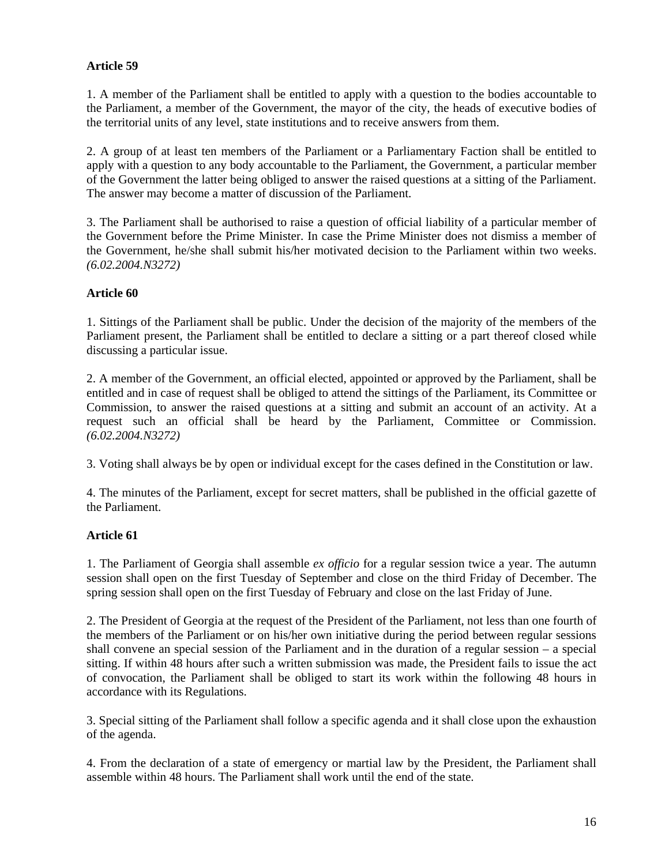1. A member of the Parliament shall be entitled to apply with a question to the bodies accountable to the Parliament, a member of the Government, the mayor of the city, the heads of executive bodies of the territorial units of any level, state institutions and to receive answers from them.

2. A group of at least ten members of the Parliament or a Parliamentary Faction shall be entitled to apply with a question to any body accountable to the Parliament, the Government, a particular member of the Government the latter being obliged to answer the raised questions at a sitting of the Parliament. The answer may become a matter of discussion of the Parliament.

3. The Parliament shall be authorised to raise a question of official liability of a particular member of the Government before the Prime Minister. In case the Prime Minister does not dismiss a member of the Government, he/she shall submit his/her motivated decision to the Parliament within two weeks. *(6.02.2004.N3272)*

### **Article 60**

1. Sittings of the Parliament shall be public. Under the decision of the majority of the members of the Parliament present, the Parliament shall be entitled to declare a sitting or a part thereof closed while discussing a particular issue.

2. A member of the Government, an official elected, appointed or approved by the Parliament, shall be entitled and in case of request shall be obliged to attend the sittings of the Parliament, its Committee or Commission, to answer the raised questions at a sitting and submit an account of an activity. At a request such an official shall be heard by the Parliament, Committee or Commission. *(6.02.2004.N3272)* 

3. Voting shall always be by open or individual except for the cases defined in the Constitution or law.

4. The minutes of the Parliament, except for secret matters, shall be published in the official gazette of the Parliament.

## **Article 61**

1. The Parliament of Georgia shall assemble *ex officio* for a regular session twice a year. The autumn session shall open on the first Tuesday of September and close on the third Friday of December. The spring session shall open on the first Tuesday of February and close on the last Friday of June.

2. The President of Georgia at the request of the President of the Parliament, not less than one fourth of the members of the Parliament or on his/her own initiative during the period between regular sessions shall convene an special session of the Parliament and in the duration of a regular session – a special sitting. If within 48 hours after such a written submission was made, the President fails to issue the act of convocation, the Parliament shall be obliged to start its work within the following 48 hours in accordance with its Regulations.

3. Special sitting of the Parliament shall follow a specific agenda and it shall close upon the exhaustion of the agenda.

4. From the declaration of a state of emergency or martial law by the President, the Parliament shall assemble within 48 hours. The Parliament shall work until the end of the state.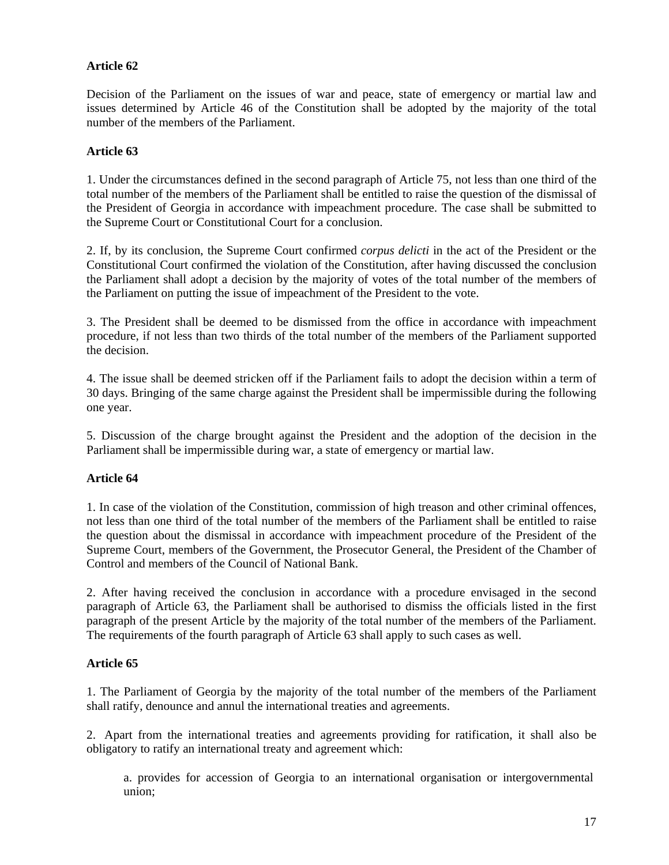Decision of the Parliament on the issues of war and peace, state of emergency or martial law and issues determined by Article 46 of the Constitution shall be adopted by the majority of the total number of the members of the Parliament.

### **Article 63**

1. Under the circumstances defined in the second paragraph of Article 75, not less than one third of the total number of the members of the Parliament shall be entitled to raise the question of the dismissal of the President of Georgia in accordance with impeachment procedure. The case shall be submitted to the Supreme Court or Constitutional Court for a conclusion.

2. If, by its conclusion, the Supreme Court confirmed *corpus delicti* in the act of the President or the Constitutional Court confirmed the violation of the Constitution, after having discussed the conclusion the Parliament shall adopt a decision by the majority of votes of the total number of the members of the Parliament on putting the issue of impeachment of the President to the vote.

3. The President shall be deemed to be dismissed from the office in accordance with impeachment procedure, if not less than two thirds of the total number of the members of the Parliament supported the decision.

4. The issue shall be deemed stricken off if the Parliament fails to adopt the decision within a term of 30 days. Bringing of the same charge against the President shall be impermissible during the following one year.

5. Discussion of the charge brought against the President and the adoption of the decision in the Parliament shall be impermissible during war, a state of emergency or martial law.

#### **Article 64**

1. In case of the violation of the Constitution, commission of high treason and other criminal offences, not less than one third of the total number of the members of the Parliament shall be entitled to raise the question about the dismissal in accordance with impeachment procedure of the President of the Supreme Court, members of the Government, the Prosecutor General, the President of the Chamber of Control and members of the Council of National Bank.

2. After having received the conclusion in accordance with a procedure envisaged in the second paragraph of Article 63, the Parliament shall be authorised to dismiss the officials listed in the first paragraph of the present Article by the majority of the total number of the members of the Parliament. The requirements of the fourth paragraph of Article 63 shall apply to such cases as well.

### **Article 65**

1. The Parliament of Georgia by the majority of the total number of the members of the Parliament shall ratify, denounce and annul the international treaties and agreements.

2. Apart from the international treaties and agreements providing for ratification, it shall also be obligatory to ratify an international treaty and agreement which:

a. provides for accession of Georgia to an international organisation or intergovernmental union;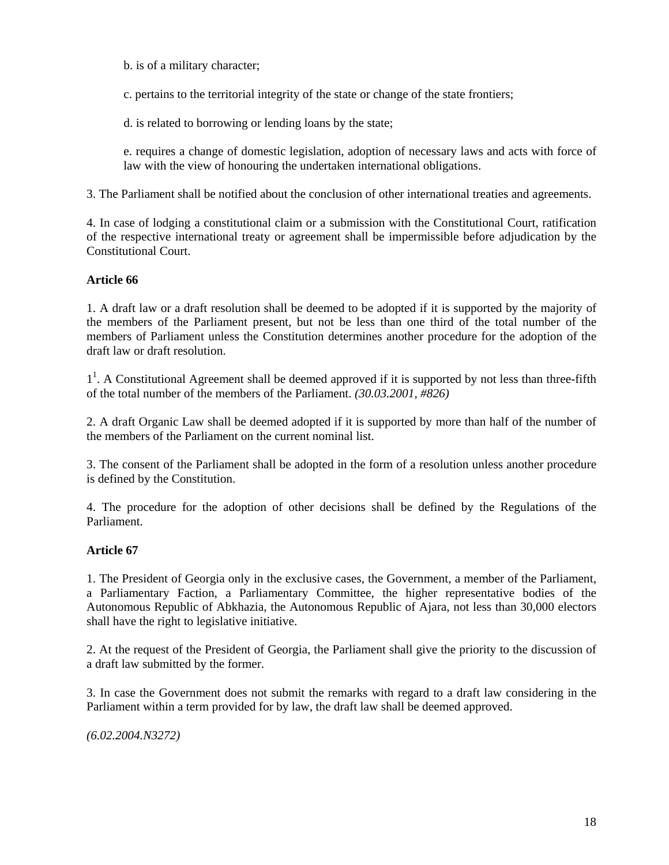b. is of a military character;

c. pertains to the territorial integrity of the state or change of the state frontiers;

d. is related to borrowing or lending loans by the state;

e. requires a change of domestic legislation, adoption of necessary laws and acts with force of law with the view of honouring the undertaken international obligations.

3. The Parliament shall be notified about the conclusion of other international treaties and agreements.

4. In case of lodging a constitutional claim or a submission with the Constitutional Court, ratification of the respective international treaty or agreement shall be impermissible before adjudication by the Constitutional Court.

### **Article 66**

1. A draft law or a draft resolution shall be deemed to be adopted if it is supported by the majority of the members of the Parliament present, but not be less than one third of the total number of the members of Parliament unless the Constitution determines another procedure for the adoption of the draft law or draft resolution.

1<sup>1</sup>. A Constitutional Agreement shall be deemed approved if it is supported by not less than three-fifth of the total number of the members of the Parliament. *(30.03.2001, #826)*

2. A draft Organic Law shall be deemed adopted if it is supported by more than half of the number of the members of the Parliament on the current nominal list.

3. The consent of the Parliament shall be adopted in the form of a resolution unless another procedure is defined by the Constitution.

4. The procedure for the adoption of other decisions shall be defined by the Regulations of the Parliament.

### **Article 67**

1. The President of Georgia only in the exclusive cases, the Government, a member of the Parliament, a Parliamentary Faction, a Parliamentary Committee, the higher representative bodies of the Autonomous Republic of Abkhazia, the Autonomous Republic of Ajara, not less than 30,000 electors shall have the right to legislative initiative.

2. At the request of the President of Georgia, the Parliament shall give the priority to the discussion of a draft law submitted by the former.

3. In case the Government does not submit the remarks with regard to a draft law considering in the Parliament within a term provided for by law, the draft law shall be deemed approved.

*(6.02.2004.N3272)*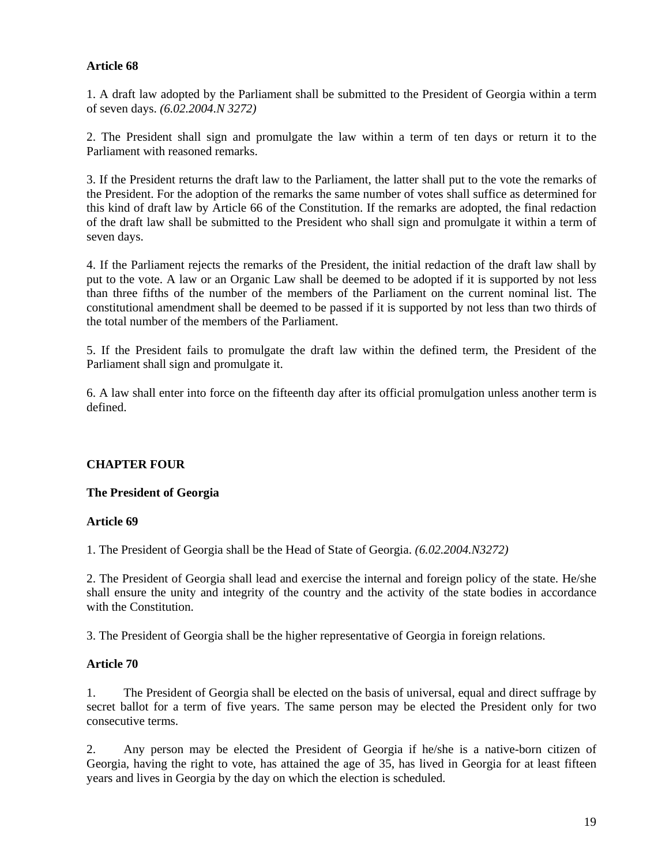1. A draft law adopted by the Parliament shall be submitted to the President of Georgia within a term of seven days. *(6.02.2004.N 3272)*

2. The President shall sign and promulgate the law within a term of ten days or return it to the Parliament with reasoned remarks.

3. If the President returns the draft law to the Parliament, the latter shall put to the vote the remarks of the President. For the adoption of the remarks the same number of votes shall suffice as determined for this kind of draft law by Article 66 of the Constitution. If the remarks are adopted, the final redaction of the draft law shall be submitted to the President who shall sign and promulgate it within a term of seven days.

4. If the Parliament rejects the remarks of the President, the initial redaction of the draft law shall by put to the vote. A law or an Organic Law shall be deemed to be adopted if it is supported by not less than three fifths of the number of the members of the Parliament on the current nominal list. The constitutional amendment shall be deemed to be passed if it is supported by not less than two thirds of the total number of the members of the Parliament.

5. If the President fails to promulgate the draft law within the defined term, the President of the Parliament shall sign and promulgate it.

6. A law shall enter into force on the fifteenth day after its official promulgation unless another term is defined.

### **CHAPTER FOUR**

### **The President of Georgia**

### **Article 69**

1. The President of Georgia shall be the Head of State of Georgia. *(6.02.2004.N3272)*

2. The President of Georgia shall lead and exercise the internal and foreign policy of the state. He/she shall ensure the unity and integrity of the country and the activity of the state bodies in accordance with the Constitution.

3. The President of Georgia shall be the higher representative of Georgia in foreign relations.

### **Article 70**

1. The President of Georgia shall be elected on the basis of universal, equal and direct suffrage by secret ballot for a term of five years. The same person may be elected the President only for two consecutive terms.

2. Any person may be elected the President of Georgia if he/she is a native-born citizen of Georgia, having the right to vote, has attained the age of 35, has lived in Georgia for at least fifteen years and lives in Georgia by the day on which the election is scheduled.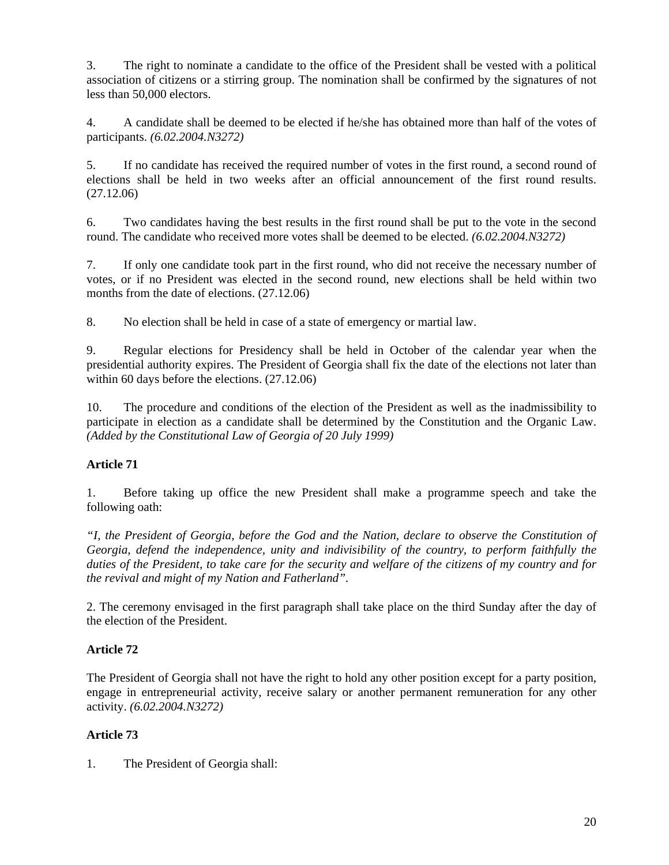3. The right to nominate a candidate to the office of the President shall be vested with a political association of citizens or a stirring group. The nomination shall be confirmed by the signatures of not less than 50,000 electors.

4. A candidate shall be deemed to be elected if he/she has obtained more than half of the votes of participants. *(6.02.2004.N3272)*

5. If no candidate has received the required number of votes in the first round, a second round of elections shall be held in two weeks after an official announcement of the first round results. (27.12.06)

6. Two candidates having the best results in the first round shall be put to the vote in the second round. The candidate who received more votes shall be deemed to be elected. *(6.02.2004.N3272)*

7. If only one candidate took part in the first round, who did not receive the necessary number of votes, or if no President was elected in the second round, new elections shall be held within two months from the date of elections. (27.12.06)

8. No election shall be held in case of a state of emergency or martial law.

9. Regular elections for Presidency shall be held in October of the calendar year when the presidential authority expires. The President of Georgia shall fix the date of the elections not later than within 60 days before the elections. (27.12.06)

10. The procedure and conditions of the election of the President as well as the inadmissibility to participate in election as a candidate shall be determined by the Constitution and the Organic Law. *(Added by the Constitutional Law of Georgia of 20 July 1999)*

### **Article 71**

1. Before taking up office the new President shall make a programme speech and take the following oath:

*"I, the President of Georgia, before the God and the Nation, declare to observe the Constitution of Georgia, defend the independence, unity and indivisibility of the country, to perform faithfully the duties of the President, to take care for the security and welfare of the citizens of my country and for the revival and might of my Nation and Fatherland".*

2. The ceremony envisaged in the first paragraph shall take place on the third Sunday after the day of the election of the President.

### **Article 72**

The President of Georgia shall not have the right to hold any other position except for a party position, engage in entrepreneurial activity, receive salary or another permanent remuneration for any other activity. *(6.02.2004.N3272)*

## **Article 73**

1. The President of Georgia shall: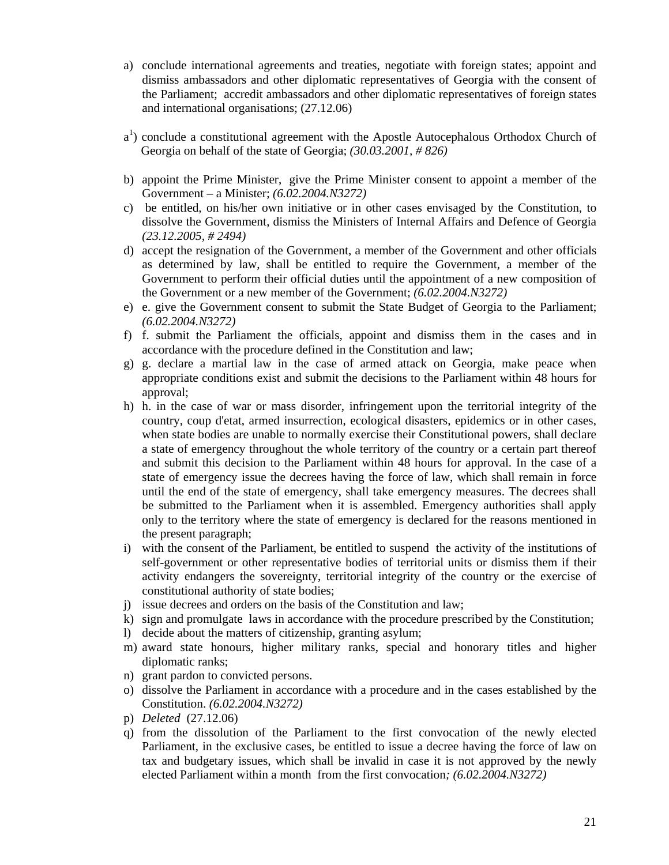- a) conclude international agreements and treaties, negotiate with foreign states; appoint and dismiss ambassadors and other diplomatic representatives of Georgia with the consent of the Parliament; accredit ambassadors and other diplomatic representatives of foreign states and international organisations; (27.12.06)
- $a<sup>1</sup>$ ) conclude a constitutional agreement with the Apostle Autocephalous Orthodox Church of Georgia on behalf of the state of Georgia; *(30.03.2001, # 826)*
- b) appoint the Prime Minister, give the Prime Minister consent to appoint a member of the Government – a Minister; *(6.02.2004.N3272)*
- c) be entitled, on his/her own initiative or in other cases envisaged by the Constitution, to dissolve the Government, dismiss the Ministers of Internal Affairs and Defence of Georgia *(23.12.2005, # 2494)*
- d) accept the resignation of the Government, a member of the Government and other officials as determined by law, shall be entitled to require the Government, a member of the Government to perform their official duties until the appointment of a new composition of the Government or a new member of the Government; *(6.02.2004.N3272)*
- e) e. give the Government consent to submit the State Budget of Georgia to the Parliament; *(6.02.2004.N3272)*
- f) f. submit the Parliament the officials, appoint and dismiss them in the cases and in accordance with the procedure defined in the Constitution and law;
- g) g. declare a martial law in the case of armed attack on Georgia, make peace when appropriate conditions exist and submit the decisions to the Parliament within 48 hours for approval;
- h) h. in the case of war or mass disorder, infringement upon the territorial integrity of the country, coup d'etat, armed insurrection, ecological disasters, epidemics or in other cases, when state bodies are unable to normally exercise their Constitutional powers, shall declare a state of emergency throughout the whole territory of the country or a certain part thereof and submit this decision to the Parliament within 48 hours for approval. In the case of a state of emergency issue the decrees having the force of law, which shall remain in force until the end of the state of emergency, shall take emergency measures. The decrees shall be submitted to the Parliament when it is assembled. Emergency authorities shall apply only to the territory where the state of emergency is declared for the reasons mentioned in the present paragraph;
- i) with the consent of the Parliament, be entitled to suspend the activity of the institutions of self-government or other representative bodies of territorial units or dismiss them if their activity endangers the sovereignty, territorial integrity of the country or the exercise of constitutional authority of state bodies;
- j) issue decrees and orders on the basis of the Constitution and law;
- k) sign and promulgate laws in accordance with the procedure prescribed by the Constitution;
- l) decide about the matters of citizenship, granting asylum;
- m) award state honours, higher military ranks, special and honorary titles and higher diplomatic ranks;
- n) grant pardon to convicted persons.
- o) dissolve the Parliament in accordance with a procedure and in the cases established by the Constitution. *(6.02.2004.N3272)*
- p) *Deleted* (27.12.06)
- q) from the dissolution of the Parliament to the first convocation of the newly elected Parliament, in the exclusive cases, be entitled to issue a decree having the force of law on tax and budgetary issues, which shall be invalid in case it is not approved by the newly elected Parliament within a month from the first convocation*; (6.02.2004.N3272)*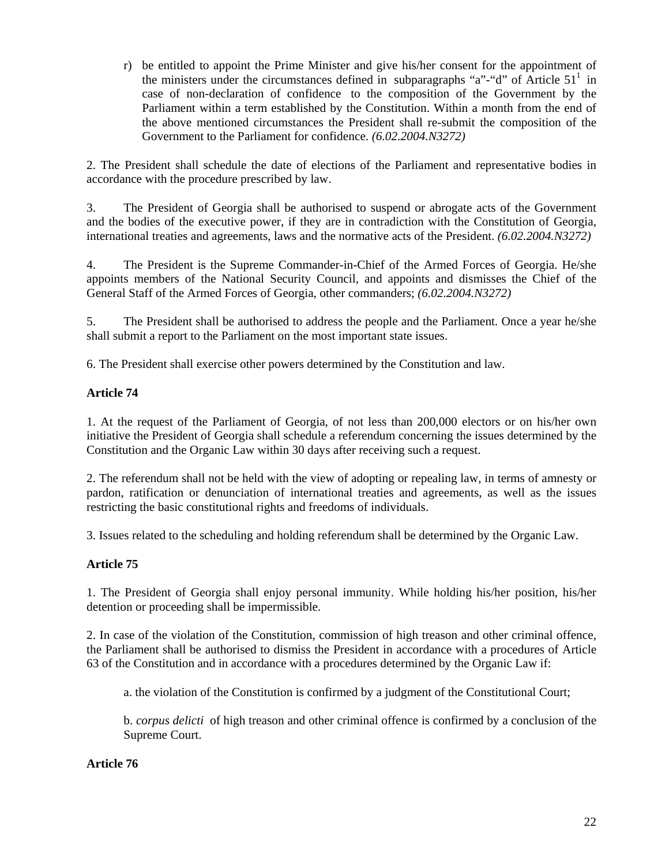r) be entitled to appoint the Prime Minister and give his/her consent for the appointment of the ministers under the circumstances defined in subparagraphs "a"-"d" of Article  $51<sup>1</sup>$  in case of non-declaration of confidence to the composition of the Government by the Parliament within a term established by the Constitution. Within a month from the end of the above mentioned circumstances the President shall re-submit the composition of the Government to the Parliament for confidence. *(6.02.2004.N3272)*

2. The President shall schedule the date of elections of the Parliament and representative bodies in accordance with the procedure prescribed by law.

3. The President of Georgia shall be authorised to suspend or abrogate acts of the Government and the bodies of the executive power, if they are in contradiction with the Constitution of Georgia, international treaties and agreements, laws and the normative acts of the President. *(6.02.2004.N3272)*

4. The President is the Supreme Commander-in-Chief of the Armed Forces of Georgia. He/she appoints members of the National Security Council, and appoints and dismisses the Chief of the General Staff of the Armed Forces of Georgia, other commanders; *(6.02.2004.N3272)*

5. The President shall be authorised to address the people and the Parliament. Once a year he/she shall submit a report to the Parliament on the most important state issues.

6. The President shall exercise other powers determined by the Constitution and law.

### **Article 74**

1. At the request of the Parliament of Georgia, of not less than 200,000 electors or on his/her own initiative the President of Georgia shall schedule a referendum concerning the issues determined by the Constitution and the Organic Law within 30 days after receiving such a request.

2. The referendum shall not be held with the view of adopting or repealing law, in terms of amnesty or pardon, ratification or denunciation of international treaties and agreements, as well as the issues restricting the basic constitutional rights and freedoms of individuals.

3. Issues related to the scheduling and holding referendum shall be determined by the Organic Law.

### **Article 75**

1. The President of Georgia shall enjoy personal immunity. While holding his/her position, his/her detention or proceeding shall be impermissible.

2. In case of the violation of the Constitution, commission of high treason and other criminal offence, the Parliament shall be authorised to dismiss the President in accordance with a procedures of Article 63 of the Constitution and in accordance with a procedures determined by the Organic Law if:

a. the violation of the Constitution is confirmed by a judgment of the Constitutional Court;

b. *corpus delicti* of high treason and other criminal offence is confirmed by a conclusion of the Supreme Court.

**Article 76**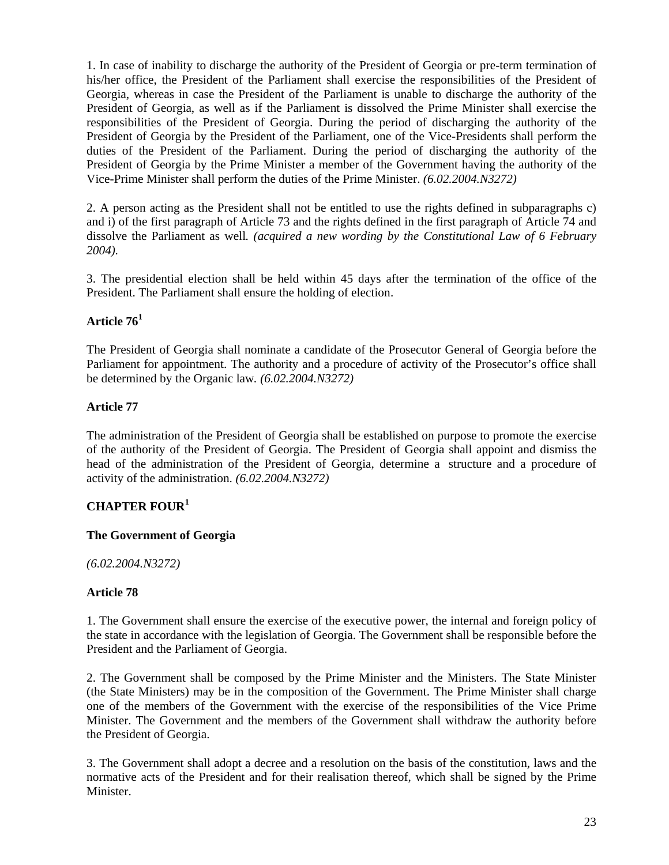1. In case of inability to discharge the authority of the President of Georgia or pre-term termination of his/her office, the President of the Parliament shall exercise the responsibilities of the President of Georgia, whereas in case the President of the Parliament is unable to discharge the authority of the President of Georgia, as well as if the Parliament is dissolved the Prime Minister shall exercise the responsibilities of the President of Georgia. During the period of discharging the authority of the President of Georgia by the President of the Parliament, one of the Vice-Presidents shall perform the duties of the President of the Parliament. During the period of discharging the authority of the President of Georgia by the Prime Minister a member of the Government having the authority of the Vice-Prime Minister shall perform the duties of the Prime Minister. *(6.02.2004.N3272)*

2. A person acting as the President shall not be entitled to use the rights defined in subparagraphs c) and i) of the first paragraph of Article 73 and the rights defined in the first paragraph of Article 74 and dissolve the Parliament as well*. (acquired a new wording by the Constitutional Law of 6 February 2004).*

3. The presidential election shall be held within 45 days after the termination of the office of the President. The Parliament shall ensure the holding of election.

### **Article 76<sup>1</sup>**

The President of Georgia shall nominate a candidate of the Prosecutor General of Georgia before the Parliament for appointment. The authority and a procedure of activity of the Prosecutor's office shall be determined by the Organic law*. (6.02.2004.N3272)*

### **Article 77**

The administration of the President of Georgia shall be established on purpose to promote the exercise of the authority of the President of Georgia. The President of Georgia shall appoint and dismiss the head of the administration of the President of Georgia, determine a structure and a procedure of activity of the administration. *(6.02.2004.N3272)*

## **CHAPTER FOUR<sup>1</sup>**

### **The Government of Georgia**

*(6.02.2004.N3272)*

### **Article 78**

1. The Government shall ensure the exercise of the executive power, the internal and foreign policy of the state in accordance with the legislation of Georgia. The Government shall be responsible before the President and the Parliament of Georgia.

2. The Government shall be composed by the Prime Minister and the Ministers. The State Minister (the State Ministers) may be in the composition of the Government. The Prime Minister shall charge one of the members of the Government with the exercise of the responsibilities of the Vice Prime Minister. The Government and the members of the Government shall withdraw the authority before the President of Georgia.

3. The Government shall adopt a decree and a resolution on the basis of the constitution, laws and the normative acts of the President and for their realisation thereof, which shall be signed by the Prime Minister.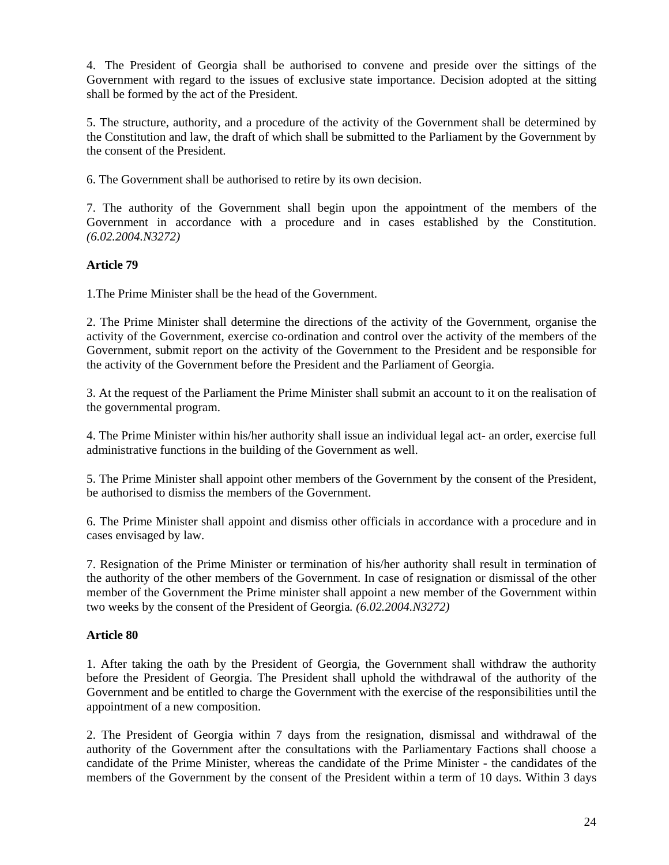4. The President of Georgia shall be authorised to convene and preside over the sittings of the Government with regard to the issues of exclusive state importance. Decision adopted at the sitting shall be formed by the act of the President.

5. The structure, authority, and a procedure of the activity of the Government shall be determined by the Constitution and law, the draft of which shall be submitted to the Parliament by the Government by the consent of the President.

6. The Government shall be authorised to retire by its own decision.

7. The authority of the Government shall begin upon the appointment of the members of the Government in accordance with a procedure and in cases established by the Constitution. *(6.02.2004.N3272)*

### **Article 79**

1.The Prime Minister shall be the head of the Government.

2. The Prime Minister shall determine the directions of the activity of the Government, organise the activity of the Government, exercise co-ordination and control over the activity of the members of the Government, submit report on the activity of the Government to the President and be responsible for the activity of the Government before the President and the Parliament of Georgia.

3. At the request of the Parliament the Prime Minister shall submit an account to it on the realisation of the governmental program.

4. The Prime Minister within his/her authority shall issue an individual legal act- an order, exercise full administrative functions in the building of the Government as well.

5. The Prime Minister shall appoint other members of the Government by the consent of the President, be authorised to dismiss the members of the Government.

6. The Prime Minister shall appoint and dismiss other officials in accordance with a procedure and in cases envisaged by law.

7. Resignation of the Prime Minister or termination of his/her authority shall result in termination of the authority of the other members of the Government. In case of resignation or dismissal of the other member of the Government the Prime minister shall appoint a new member of the Government within two weeks by the consent of the President of Georgia*. (6.02.2004.N3272)*

#### **Article 80**

1. After taking the oath by the President of Georgia, the Government shall withdraw the authority before the President of Georgia. The President shall uphold the withdrawal of the authority of the Government and be entitled to charge the Government with the exercise of the responsibilities until the appointment of a new composition.

2. The President of Georgia within 7 days from the resignation, dismissal and withdrawal of the authority of the Government after the consultations with the Parliamentary Factions shall choose a candidate of the Prime Minister, whereas the candidate of the Prime Minister - the candidates of the members of the Government by the consent of the President within a term of 10 days. Within 3 days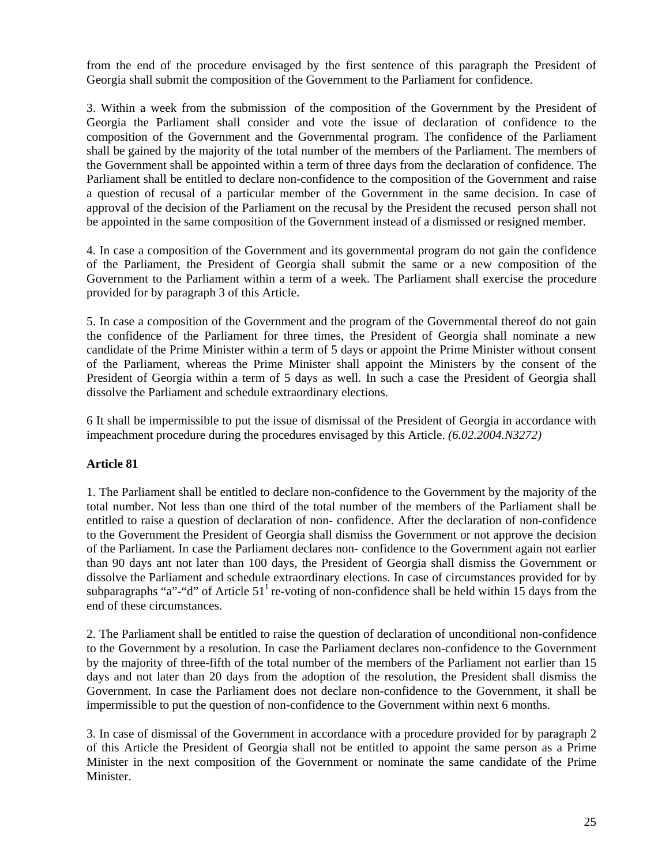from the end of the procedure envisaged by the first sentence of this paragraph the President of Georgia shall submit the composition of the Government to the Parliament for confidence.

3. Within a week from the submission of the composition of the Government by the President of Georgia the Parliament shall consider and vote the issue of declaration of confidence to the composition of the Government and the Governmental program. The confidence of the Parliament shall be gained by the majority of the total number of the members of the Parliament. The members of the Government shall be appointed within a term of three days from the declaration of confidence. The Parliament shall be entitled to declare non-confidence to the composition of the Government and raise a question of recusal of a particular member of the Government in the same decision. In case of approval of the decision of the Parliament on the recusal by the President the recused person shall not be appointed in the same composition of the Government instead of a dismissed or resigned member.

4. In case a composition of the Government and its governmental program do not gain the confidence of the Parliament, the President of Georgia shall submit the same or a new composition of the Government to the Parliament within a term of a week. The Parliament shall exercise the procedure provided for by paragraph 3 of this Article.

5. In case a composition of the Government and the program of the Governmental thereof do not gain the confidence of the Parliament for three times, the President of Georgia shall nominate a new candidate of the Prime Minister within a term of 5 days or appoint the Prime Minister without consent of the Parliament, whereas the Prime Minister shall appoint the Ministers by the consent of the President of Georgia within a term of 5 days as well. In such a case the President of Georgia shall dissolve the Parliament and schedule extraordinary elections.

6 It shall be impermissible to put the issue of dismissal of the President of Georgia in accordance with impeachment procedure during the procedures envisaged by this Article. *(6.02.2004.N3272)*

### **Article 81**

1. The Parliament shall be entitled to declare non-confidence to the Government by the majority of the total number. Not less than one third of the total number of the members of the Parliament shall be entitled to raise a question of declaration of non- confidence. After the declaration of non-confidence to the Government the President of Georgia shall dismiss the Government or not approve the decision of the Parliament. In case the Parliament declares non- confidence to the Government again not earlier than 90 days ant not later than 100 days, the President of Georgia shall dismiss the Government or dissolve the Parliament and schedule extraordinary elections. In case of circumstances provided for by subparagraphs "a"-"d" of Article  $51<sup>1</sup>$  re-voting of non-confidence shall be held within 15 days from the end of these circumstances.

2. The Parliament shall be entitled to raise the question of declaration of unconditional non-confidence to the Government by a resolution. In case the Parliament declares non-confidence to the Government by the majority of three-fifth of the total number of the members of the Parliament not earlier than 15 days and not later than 20 days from the adoption of the resolution, the President shall dismiss the Government. In case the Parliament does not declare non-confidence to the Government, it shall be impermissible to put the question of non-confidence to the Government within next 6 months.

3. In case of dismissal of the Government in accordance with a procedure provided for by paragraph 2 of this Article the President of Georgia shall not be entitled to appoint the same person as a Prime Minister in the next composition of the Government or nominate the same candidate of the Prime Minister.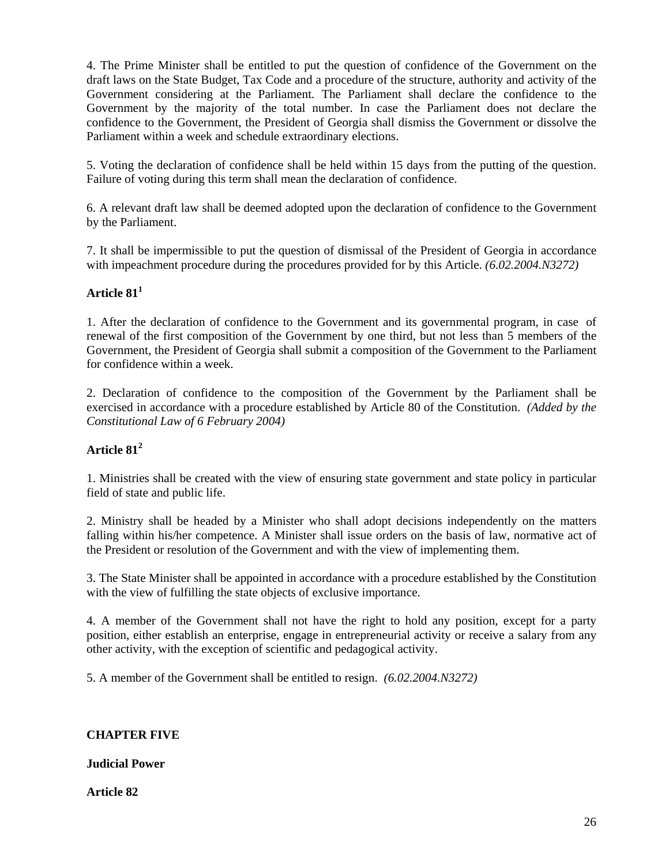4. The Prime Minister shall be entitled to put the question of confidence of the Government on the draft laws on the State Budget, Tax Code and a procedure of the structure, authority and activity of the Government considering at the Parliament. The Parliament shall declare the confidence to the Government by the majority of the total number. In case the Parliament does not declare the confidence to the Government, the President of Georgia shall dismiss the Government or dissolve the Parliament within a week and schedule extraordinary elections.

5. Voting the declaration of confidence shall be held within 15 days from the putting of the question. Failure of voting during this term shall mean the declaration of confidence.

6. A relevant draft law shall be deemed adopted upon the declaration of confidence to the Government by the Parliament.

7. It shall be impermissible to put the question of dismissal of the President of Georgia in accordance with impeachment procedure during the procedures provided for by this Article. *(6.02.2004.N3272)*

### **Article 81<sup>1</sup>**

1. After the declaration of confidence to the Government and its governmental program, in case of renewal of the first composition of the Government by one third, but not less than 5 members of the Government, the President of Georgia shall submit a composition of the Government to the Parliament for confidence within a week.

2. Declaration of confidence to the composition of the Government by the Parliament shall be exercised in accordance with a procedure established by Article 80 of the Constitution. *(Added by the Constitutional Law of 6 February 2004)*

## **Article 81<sup>2</sup>**

1. Ministries shall be created with the view of ensuring state government and state policy in particular field of state and public life.

2. Ministry shall be headed by a Minister who shall adopt decisions independently on the matters falling within his/her competence. A Minister shall issue orders on the basis of law, normative act of the President or resolution of the Government and with the view of implementing them.

3. The State Minister shall be appointed in accordance with a procedure established by the Constitution with the view of fulfilling the state objects of exclusive importance.

4. A member of the Government shall not have the right to hold any position, except for a party position, either establish an enterprise, engage in entrepreneurial activity or receive a salary from any other activity, with the exception of scientific and pedagogical activity.

5. A member of the Government shall be entitled to resign. *(6.02.2004.N3272)*

### **CHAPTER FIVE**

**Judicial Power** 

**Article 82**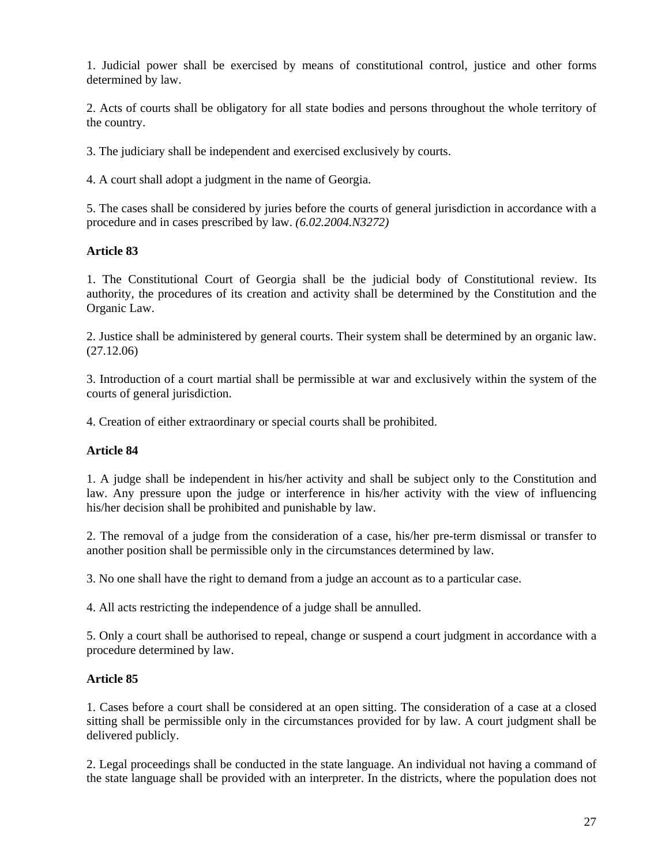1. Judicial power shall be exercised by means of constitutional control, justice and other forms determined by law.

2. Acts of courts shall be obligatory for all state bodies and persons throughout the whole territory of the country.

3. The judiciary shall be independent and exercised exclusively by courts.

4. A court shall adopt a judgment in the name of Georgia.

5. The cases shall be considered by juries before the courts of general jurisdiction in accordance with a procedure and in cases prescribed by law. *(6.02.2004.N3272)*

### **Article 83**

1. The Constitutional Court of Georgia shall be the judicial body of Constitutional review. Its authority, the procedures of its creation and activity shall be determined by the Constitution and the Organic Law.

2. Justice shall be administered by general courts. Their system shall be determined by an organic law. (27.12.06)

3. Introduction of a court martial shall be permissible at war and exclusively within the system of the courts of general jurisdiction.

4. Creation of either extraordinary or special courts shall be prohibited.

### **Article 84**

1. A judge shall be independent in his/her activity and shall be subject only to the Constitution and law. Any pressure upon the judge or interference in his/her activity with the view of influencing his/her decision shall be prohibited and punishable by law.

2. The removal of a judge from the consideration of a case, his/her pre-term dismissal or transfer to another position shall be permissible only in the circumstances determined by law.

3. No one shall have the right to demand from a judge an account as to a particular case.

4. All acts restricting the independence of a judge shall be annulled.

5. Only a court shall be authorised to repeal, change or suspend a court judgment in accordance with a procedure determined by law.

### **Article 85**

1. Cases before a court shall be considered at an open sitting. The consideration of a case at a closed sitting shall be permissible only in the circumstances provided for by law. A court judgment shall be delivered publicly.

2. Legal proceedings shall be conducted in the state language. An individual not having a command of the state language shall be provided with an interpreter. In the districts, where the population does not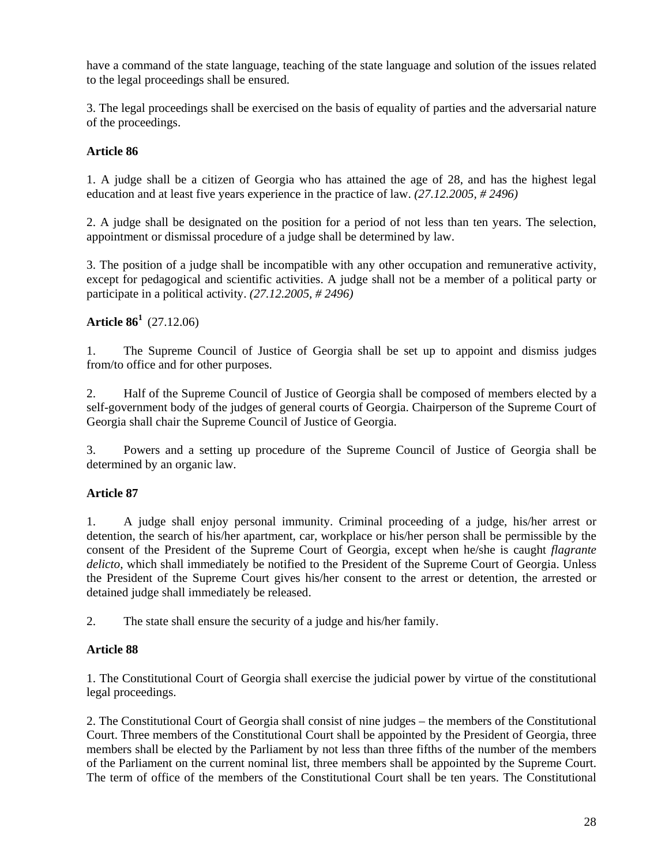have a command of the state language, teaching of the state language and solution of the issues related to the legal proceedings shall be ensured.

3. The legal proceedings shall be exercised on the basis of equality of parties and the adversarial nature of the proceedings.

## **Article 86**

1. A judge shall be a citizen of Georgia who has attained the age of 28, and has the highest legal education and at least five years experience in the practice of law. *(27.12.2005, # 2496)*

2. A judge shall be designated on the position for a period of not less than ten years. The selection, appointment or dismissal procedure of a judge shall be determined by law.

3. The position of a judge shall be incompatible with any other occupation and remunerative activity, except for pedagogical and scientific activities. A judge shall not be a member of a political party or participate in a political activity. *(27.12.2005, # 2496)*

## **Article 86<sup>1</sup>**(27.12.06)

1. The Supreme Council of Justice of Georgia shall be set up to appoint and dismiss judges from/to office and for other purposes.

2. Half of the Supreme Council of Justice of Georgia shall be composed of members elected by a self-government body of the judges of general courts of Georgia. Chairperson of the Supreme Court of Georgia shall chair the Supreme Council of Justice of Georgia.

3. Powers and a setting up procedure of the Supreme Council of Justice of Georgia shall be determined by an organic law.

### **Article 87**

1. A judge shall enjoy personal immunity. Criminal proceeding of a judge, his/her arrest or detention, the search of his/her apartment, car, workplace or his/her person shall be permissible by the consent of the President of the Supreme Court of Georgia, except when he/she is caught *flagrante delicto*, which shall immediately be notified to the President of the Supreme Court of Georgia. Unless the President of the Supreme Court gives his/her consent to the arrest or detention, the arrested or detained judge shall immediately be released.

2. The state shall ensure the security of a judge and his/her family.

### **Article 88**

1. The Constitutional Court of Georgia shall exercise the judicial power by virtue of the constitutional legal proceedings.

2. The Constitutional Court of Georgia shall consist of nine judges – the members of the Constitutional Court. Three members of the Constitutional Court shall be appointed by the President of Georgia, three members shall be elected by the Parliament by not less than three fifths of the number of the members of the Parliament on the current nominal list, three members shall be appointed by the Supreme Court. The term of office of the members of the Constitutional Court shall be ten years. The Constitutional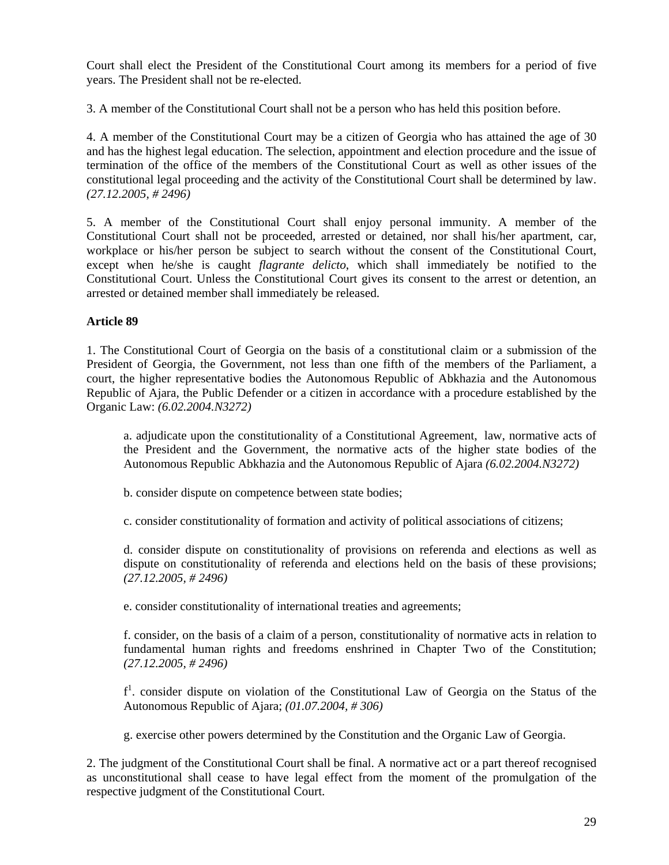Court shall elect the President of the Constitutional Court among its members for a period of five years. The President shall not be re-elected.

3. A member of the Constitutional Court shall not be a person who has held this position before.

4. A member of the Constitutional Court may be a citizen of Georgia who has attained the age of 30 and has the highest legal education. The selection, appointment and election procedure and the issue of termination of the office of the members of the Constitutional Court as well as other issues of the constitutional legal proceeding and the activity of the Constitutional Court shall be determined by law. *(27.12.2005, # 2496)*

5. A member of the Constitutional Court shall enjoy personal immunity. A member of the Constitutional Court shall not be proceeded, arrested or detained, nor shall his/her apartment, car, workplace or his/her person be subject to search without the consent of the Constitutional Court, except when he/she is caught *flagrante delicto*, which shall immediately be notified to the Constitutional Court. Unless the Constitutional Court gives its consent to the arrest or detention, an arrested or detained member shall immediately be released.

### **Article 89**

1. The Constitutional Court of Georgia on the basis of a constitutional claim or a submission of the President of Georgia, the Government, not less than one fifth of the members of the Parliament, a court, the higher representative bodies the Autonomous Republic of Abkhazia and the Autonomous Republic of Ajara, the Public Defender or a citizen in accordance with a procedure established by the Organic Law: *(6.02.2004.N3272)*

a. adjudicate upon the constitutionality of a Constitutional Agreement, law, normative acts of the President and the Government, the normative acts of the higher state bodies of the Autonomous Republic Abkhazia and the Autonomous Republic of Ajara *(6.02.2004.N3272)*

b. consider dispute on competence between state bodies;

c. consider constitutionality of formation and activity of political associations of citizens;

d. consider dispute on constitutionality of provisions on referenda and elections as well as dispute on constitutionality of referenda and elections held on the basis of these provisions; *(27.12.2005, # 2496)*

e. consider constitutionality of international treaties and agreements;

f. consider, on the basis of a claim of a person, constitutionality of normative acts in relation to fundamental human rights and freedoms enshrined in Chapter Two of the Constitution; *(27.12.2005, # 2496)*

f<sup>1</sup>. consider dispute on violation of the Constitutional Law of Georgia on the Status of the Autonomous Republic of Ajara; *(01.07.2004, # 306)*

g. exercise other powers determined by the Constitution and the Organic Law of Georgia.

2. The judgment of the Constitutional Court shall be final. A normative act or a part thereof recognised as unconstitutional shall cease to have legal effect from the moment of the promulgation of the respective judgment of the Constitutional Court.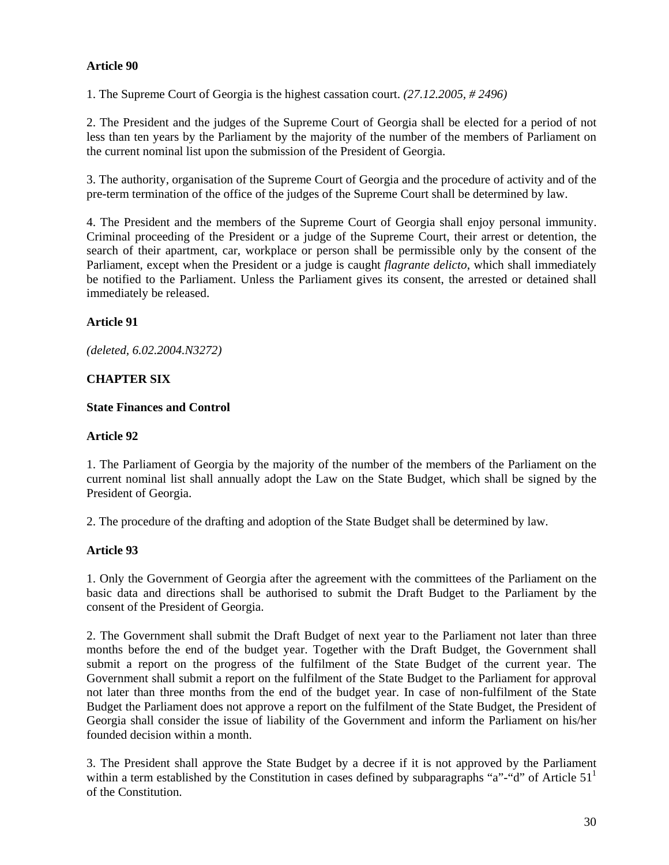1. The Supreme Court of Georgia is the highest cassation court. *(27.12.2005, # 2496)*

2. The President and the judges of the Supreme Court of Georgia shall be elected for a period of not less than ten years by the Parliament by the majority of the number of the members of Parliament on the current nominal list upon the submission of the President of Georgia.

3. The authority, organisation of the Supreme Court of Georgia and the procedure of activity and of the pre-term termination of the office of the judges of the Supreme Court shall be determined by law.

4. The President and the members of the Supreme Court of Georgia shall enjoy personal immunity. Criminal proceeding of the President or a judge of the Supreme Court, their arrest or detention, the search of their apartment, car, workplace or person shall be permissible only by the consent of the Parliament, except when the President or a judge is caught *flagrante delicto*, which shall immediately be notified to the Parliament. Unless the Parliament gives its consent, the arrested or detained shall immediately be released.

### **Article 91**

*(deleted, 6.02.2004.N3272)*

### **CHAPTER SIX**

### **State Finances and Control**

#### **Article 92**

1. The Parliament of Georgia by the majority of the number of the members of the Parliament on the current nominal list shall annually adopt the Law on the State Budget, which shall be signed by the President of Georgia.

2. The procedure of the drafting and adoption of the State Budget shall be determined by law.

### **Article 93**

1. Only the Government of Georgia after the agreement with the committees of the Parliament on the basic data and directions shall be authorised to submit the Draft Budget to the Parliament by the consent of the President of Georgia.

2. The Government shall submit the Draft Budget of next year to the Parliament not later than three months before the end of the budget year. Together with the Draft Budget, the Government shall submit a report on the progress of the fulfilment of the State Budget of the current year. The Government shall submit a report on the fulfilment of the State Budget to the Parliament for approval not later than three months from the end of the budget year. In case of non-fulfilment of the State Budget the Parliament does not approve a report on the fulfilment of the State Budget, the President of Georgia shall consider the issue of liability of the Government and inform the Parliament on his/her founded decision within a month.

3. The President shall approve the State Budget by a decree if it is not approved by the Parliament within a term established by the Constitution in cases defined by subparagraphs "a"-"d" of Article  $51<sup>1</sup>$ of the Constitution.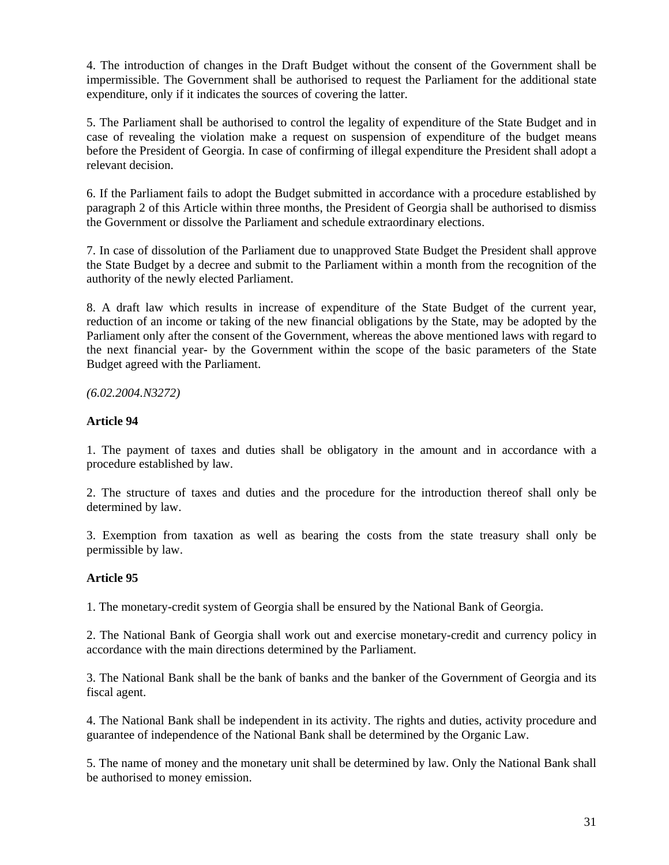4. The introduction of changes in the Draft Budget without the consent of the Government shall be impermissible. The Government shall be authorised to request the Parliament for the additional state expenditure, only if it indicates the sources of covering the latter.

5. The Parliament shall be authorised to control the legality of expenditure of the State Budget and in case of revealing the violation make a request on suspension of expenditure of the budget means before the President of Georgia. In case of confirming of illegal expenditure the President shall adopt a relevant decision.

6. If the Parliament fails to adopt the Budget submitted in accordance with a procedure established by paragraph 2 of this Article within three months, the President of Georgia shall be authorised to dismiss the Government or dissolve the Parliament and schedule extraordinary elections.

7. In case of dissolution of the Parliament due to unapproved State Budget the President shall approve the State Budget by a decree and submit to the Parliament within a month from the recognition of the authority of the newly elected Parliament.

8. A draft law which results in increase of expenditure of the State Budget of the current year, reduction of an income or taking of the new financial obligations by the State, may be adopted by the Parliament only after the consent of the Government, whereas the above mentioned laws with regard to the next financial year- by the Government within the scope of the basic parameters of the State Budget agreed with the Parliament.

*(6.02.2004.N3272)*

#### **Article 94**

1. The payment of taxes and duties shall be obligatory in the amount and in accordance with a procedure established by law.

2. The structure of taxes and duties and the procedure for the introduction thereof shall only be determined by law.

3. Exemption from taxation as well as bearing the costs from the state treasury shall only be permissible by law.

### **Article 95**

1. The monetary-credit system of Georgia shall be ensured by the National Bank of Georgia.

2. The National Bank of Georgia shall work out and exercise monetary-credit and currency policy in accordance with the main directions determined by the Parliament.

3. The National Bank shall be the bank of banks and the banker of the Government of Georgia and its fiscal agent.

4. The National Bank shall be independent in its activity. The rights and duties, activity procedure and guarantee of independence of the National Bank shall be determined by the Organic Law.

5. The name of money and the monetary unit shall be determined by law. Only the National Bank shall be authorised to money emission.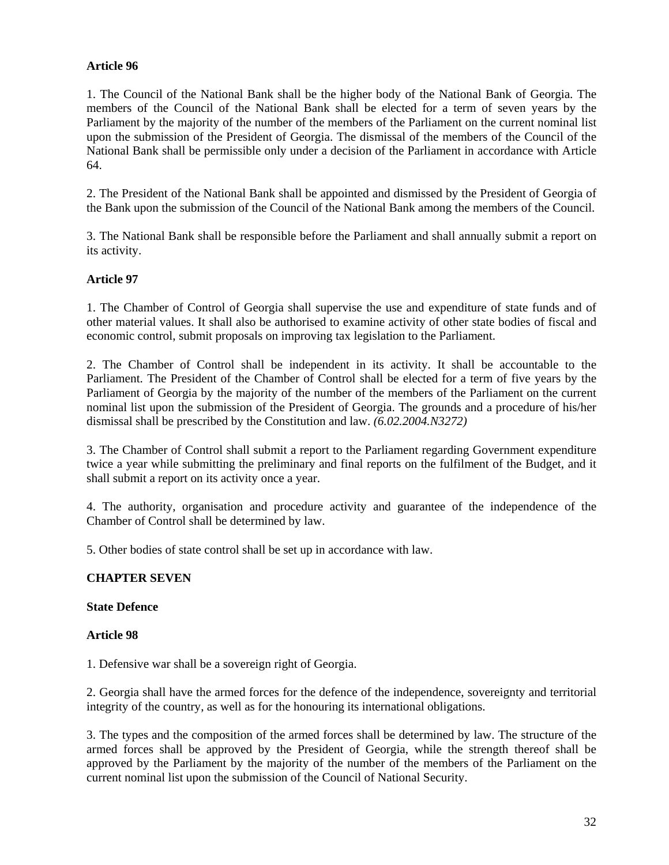1. The Council of the National Bank shall be the higher body of the National Bank of Georgia. The members of the Council of the National Bank shall be elected for a term of seven years by the Parliament by the majority of the number of the members of the Parliament on the current nominal list upon the submission of the President of Georgia. The dismissal of the members of the Council of the National Bank shall be permissible only under a decision of the Parliament in accordance with Article 64.

2. The President of the National Bank shall be appointed and dismissed by the President of Georgia of the Bank upon the submission of the Council of the National Bank among the members of the Council.

3. The National Bank shall be responsible before the Parliament and shall annually submit a report on its activity.

### **Article 97**

1. The Chamber of Control of Georgia shall supervise the use and expenditure of state funds and of other material values. It shall also be authorised to examine activity of other state bodies of fiscal and economic control, submit proposals on improving tax legislation to the Parliament.

2. The Chamber of Control shall be independent in its activity. It shall be accountable to the Parliament. The President of the Chamber of Control shall be elected for a term of five years by the Parliament of Georgia by the majority of the number of the members of the Parliament on the current nominal list upon the submission of the President of Georgia. The grounds and a procedure of his/her dismissal shall be prescribed by the Constitution and law. *(6.02.2004.N3272)*

3. The Chamber of Control shall submit a report to the Parliament regarding Government expenditure twice a year while submitting the preliminary and final reports on the fulfilment of the Budget, and it shall submit a report on its activity once a year.

4. The authority, organisation and procedure activity and guarantee of the independence of the Chamber of Control shall be determined by law.

5. Other bodies of state control shall be set up in accordance with law.

#### **CHAPTER SEVEN**

#### **State Defence**

#### **Article 98**

1. Defensive war shall be a sovereign right of Georgia.

2. Georgia shall have the armed forces for the defence of the independence, sovereignty and territorial integrity of the country, as well as for the honouring its international obligations.

3. The types and the composition of the armed forces shall be determined by law. The structure of the armed forces shall be approved by the President of Georgia, while the strength thereof shall be approved by the Parliament by the majority of the number of the members of the Parliament on the current nominal list upon the submission of the Council of National Security.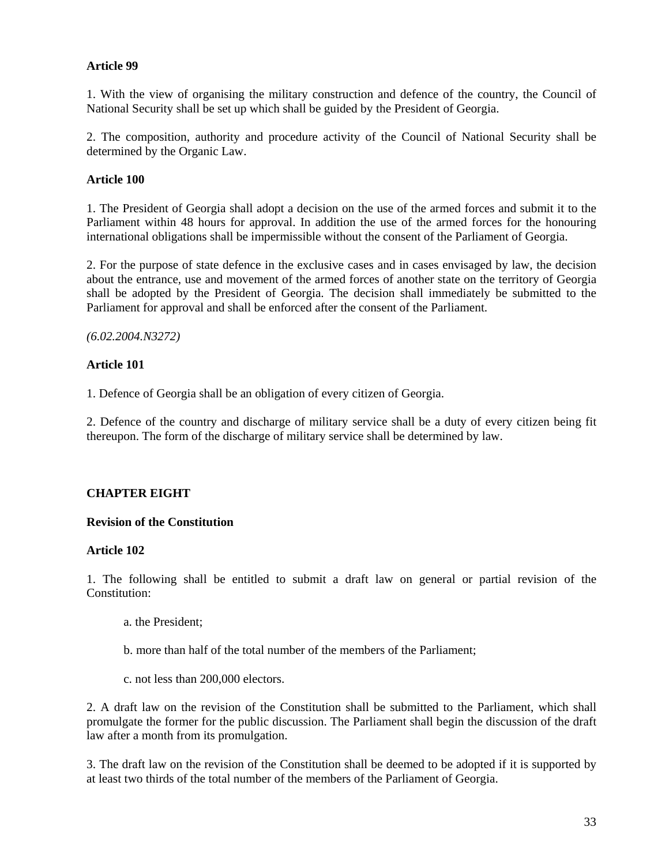1. With the view of organising the military construction and defence of the country, the Council of National Security shall be set up which shall be guided by the President of Georgia.

2. The composition, authority and procedure activity of the Council of National Security shall be determined by the Organic Law.

### **Article 100**

1. The President of Georgia shall adopt a decision on the use of the armed forces and submit it to the Parliament within 48 hours for approval. In addition the use of the armed forces for the honouring international obligations shall be impermissible without the consent of the Parliament of Georgia.

2. For the purpose of state defence in the exclusive cases and in cases envisaged by law, the decision about the entrance, use and movement of the armed forces of another state on the territory of Georgia shall be adopted by the President of Georgia. The decision shall immediately be submitted to the Parliament for approval and shall be enforced after the consent of the Parliament.

*(6.02.2004.N3272)*

### **Article 101**

1. Defence of Georgia shall be an obligation of every citizen of Georgia.

2. Defence of the country and discharge of military service shall be a duty of every citizen being fit thereupon. The form of the discharge of military service shall be determined by law.

### **CHAPTER EIGHT**

### **Revision of the Constitution**

### **Article 102**

1. The following shall be entitled to submit a draft law on general or partial revision of the Constitution:

- a. the President;
- b. more than half of the total number of the members of the Parliament;
- c. not less than 200,000 electors.

2. A draft law on the revision of the Constitution shall be submitted to the Parliament, which shall promulgate the former for the public discussion. The Parliament shall begin the discussion of the draft law after a month from its promulgation.

3. The draft law on the revision of the Constitution shall be deemed to be adopted if it is supported by at least two thirds of the total number of the members of the Parliament of Georgia.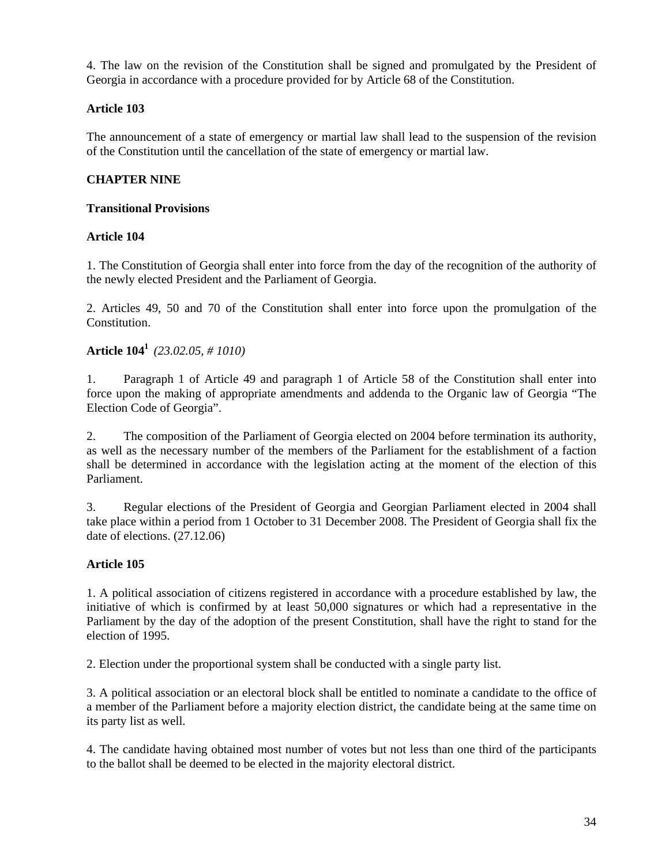4. The law on the revision of the Constitution shall be signed and promulgated by the President of Georgia in accordance with a procedure provided for by Article 68 of the Constitution.

### **Article 103**

The announcement of a state of emergency or martial law shall lead to the suspension of the revision of the Constitution until the cancellation of the state of emergency or martial law.

### **CHAPTER NINE**

#### **Transitional Provisions**

### **Article 104**

1. The Constitution of Georgia shall enter into force from the day of the recognition of the authority of the newly elected President and the Parliament of Georgia.

2. Articles 49, 50 and 70 of the Constitution shall enter into force upon the promulgation of the Constitution.

## **Article 1041** *(23.02.05, # 1010)*

1. Paragraph 1 of Article 49 and paragraph 1 of Article 58 of the Constitution shall enter into force upon the making of appropriate amendments and addenda to the Organic law of Georgia "The Election Code of Georgia".

2. The composition of the Parliament of Georgia elected on 2004 before termination its authority, as well as the necessary number of the members of the Parliament for the establishment of a faction shall be determined in accordance with the legislation acting at the moment of the election of this Parliament.

3. Regular elections of the President of Georgia and Georgian Parliament elected in 2004 shall take place within a period from 1 October to 31 December 2008. The President of Georgia shall fix the date of elections. (27.12.06)

### **Article 105**

1. A political association of citizens registered in accordance with a procedure established by law, the initiative of which is confirmed by at least 50,000 signatures or which had a representative in the Parliament by the day of the adoption of the present Constitution, shall have the right to stand for the election of 1995.

2. Election under the proportional system shall be conducted with a single party list.

3. A political association or an electoral block shall be entitled to nominate a candidate to the office of a member of the Parliament before a majority election district, the candidate being at the same time on its party list as well.

4. The candidate having obtained most number of votes but not less than one third of the participants to the ballot shall be deemed to be elected in the majority electoral district.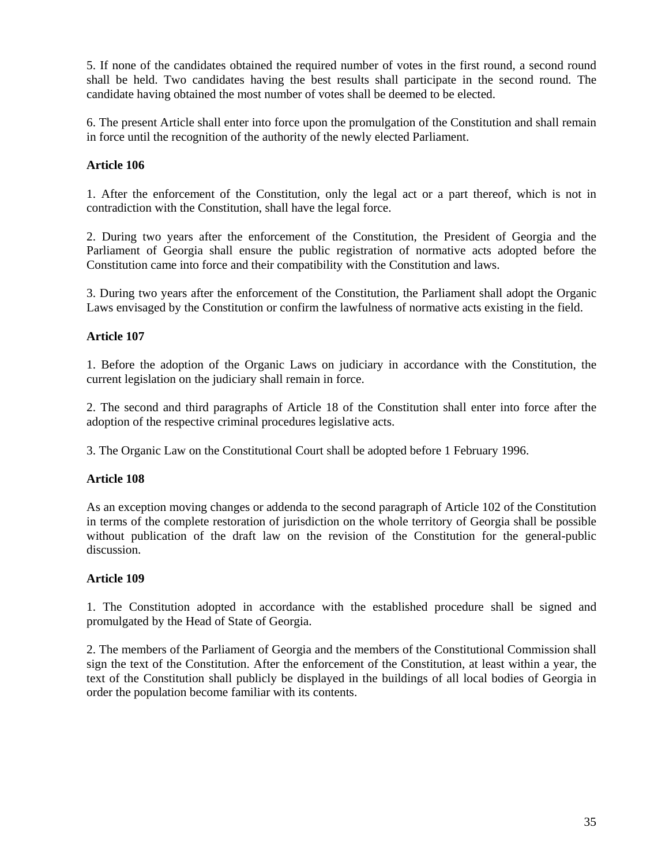5. If none of the candidates obtained the required number of votes in the first round, a second round shall be held. Two candidates having the best results shall participate in the second round. The candidate having obtained the most number of votes shall be deemed to be elected.

6. The present Article shall enter into force upon the promulgation of the Constitution and shall remain in force until the recognition of the authority of the newly elected Parliament.

### **Article 106**

1. After the enforcement of the Constitution, only the legal act or a part thereof, which is not in contradiction with the Constitution, shall have the legal force.

2. During two years after the enforcement of the Constitution, the President of Georgia and the Parliament of Georgia shall ensure the public registration of normative acts adopted before the Constitution came into force and their compatibility with the Constitution and laws.

3. During two years after the enforcement of the Constitution, the Parliament shall adopt the Organic Laws envisaged by the Constitution or confirm the lawfulness of normative acts existing in the field.

### **Article 107**

1. Before the adoption of the Organic Laws on judiciary in accordance with the Constitution, the current legislation on the judiciary shall remain in force.

2. The second and third paragraphs of Article 18 of the Constitution shall enter into force after the adoption of the respective criminal procedures legislative acts.

3. The Organic Law on the Constitutional Court shall be adopted before 1 February 1996.

#### **Article 108**

As an exception moving changes or addenda to the second paragraph of Article 102 of the Constitution in terms of the complete restoration of jurisdiction on the whole territory of Georgia shall be possible without publication of the draft law on the revision of the Constitution for the general-public discussion.

#### **Article 109**

1. The Constitution adopted in accordance with the established procedure shall be signed and promulgated by the Head of State of Georgia.

2. The members of the Parliament of Georgia and the members of the Constitutional Commission shall sign the text of the Constitution. After the enforcement of the Constitution, at least within a year, the text of the Constitution shall publicly be displayed in the buildings of all local bodies of Georgia in order the population become familiar with its contents.